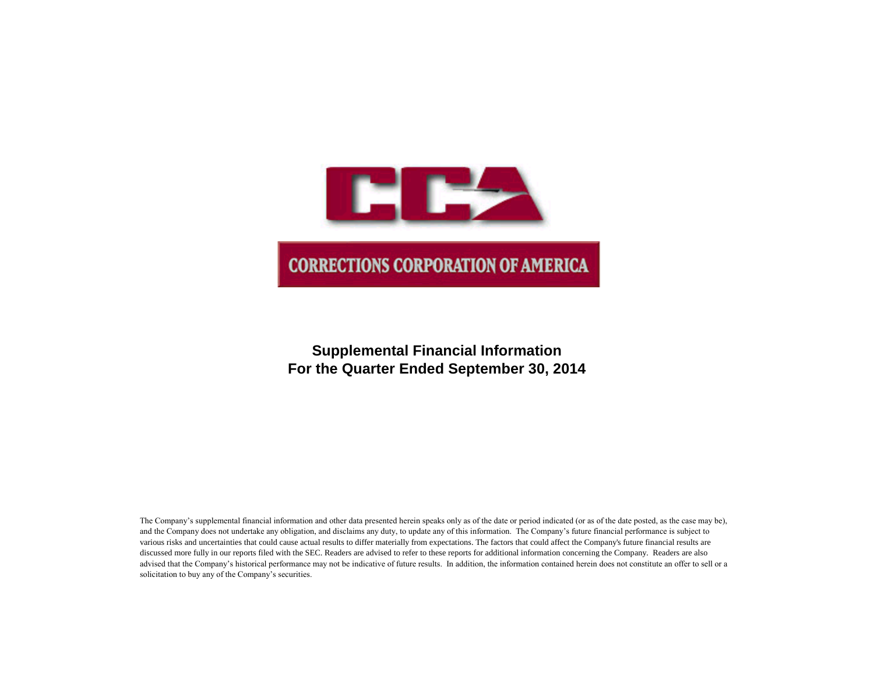

# **Supplemental Financial Information For the Quarter Ended September 30, 2014**

The Company's supplemental financial information and other data presented herein speaks only as of the date or period indicated (or as of the date posted, as the case may be), and the Company does not undertake any obligation, and disclaims any duty, to update any of this information. The Company's future financial performance is subject to various risks and uncertainties that could cause actual results to differ materially from expectations. The factors that could affect the Company's future financial results are discussed more fully in our reports filed with the SEC. Readers are advised to refer to these reports for additional information concerning the Company. Readers are also advised that the Company's historical performance may not be indicative of future results. In addition, the information contained herein does not constitute an offer to sell or a solicitation to buy any of the Company's securities.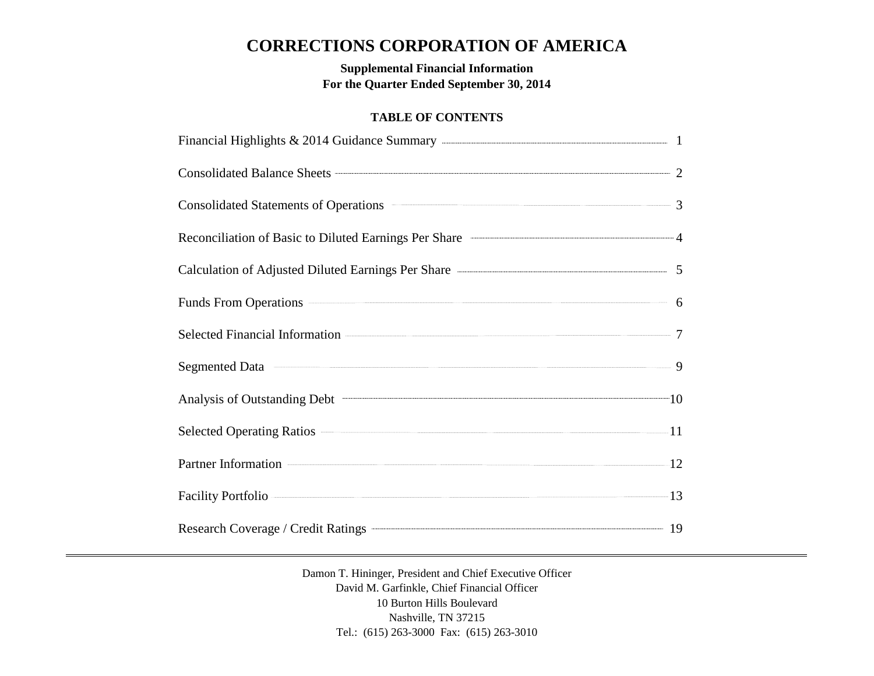# **CORRECTIONS CORPORATION OF AMERICA**

**Supplemental Financial Information For the Quarter Ended September 30, 2014**

# **TABLE OF CONTENTS**

| Consolidated Balance Sheets 2                                                                                                                                                                                                                            |  |
|----------------------------------------------------------------------------------------------------------------------------------------------------------------------------------------------------------------------------------------------------------|--|
| Consolidated Statements of Operations <b>Consolidated Statements</b> of Operations <b>Consolidated Statements</b> of Operations <b>Consolidated Statements</b> of Operations <b>Consolidated Statements</b> of Operations <b>Consolidated Statements</b> |  |
| Reconciliation of Basic to Diluted Earnings Per Share ——————————————————4                                                                                                                                                                                |  |
| Calculation of Adjusted Diluted Earnings Per Share <b>Calculation</b> 6 5                                                                                                                                                                                |  |
| Funds From Operations 6                                                                                                                                                                                                                                  |  |
| Selected Financial Information 2008 2012 12:00 12:00 12:00 12:00 12:00 12:00 12:00 12:00 12:00 12:00 12:00 12:00 12:00 12:00 12:00 12:00 12:00 12:00 12:00 12:00 12:00 12:00 12:00 12:00 12:00 12:00 12:00 12:00 12:00 12:00 1                           |  |
| Segmented Data 9                                                                                                                                                                                                                                         |  |
| Analysis of Outstanding Debt 10                                                                                                                                                                                                                          |  |
| Selected Operating Ratios 211                                                                                                                                                                                                                            |  |
| Partner Information 22                                                                                                                                                                                                                                   |  |
| Facility Portfolio 2008 13                                                                                                                                                                                                                               |  |
| Research Coverage / Credit Ratings – 2008 19                                                                                                                                                                                                             |  |

Damon T. Hininger, President and Chief Executive Officer David M. Garfinkle, Chief Financial Officer 10 Burton Hills Boulevard Nashville, TN 37215 Tel.: (615) 263-3000 Fax: (615) 263-3010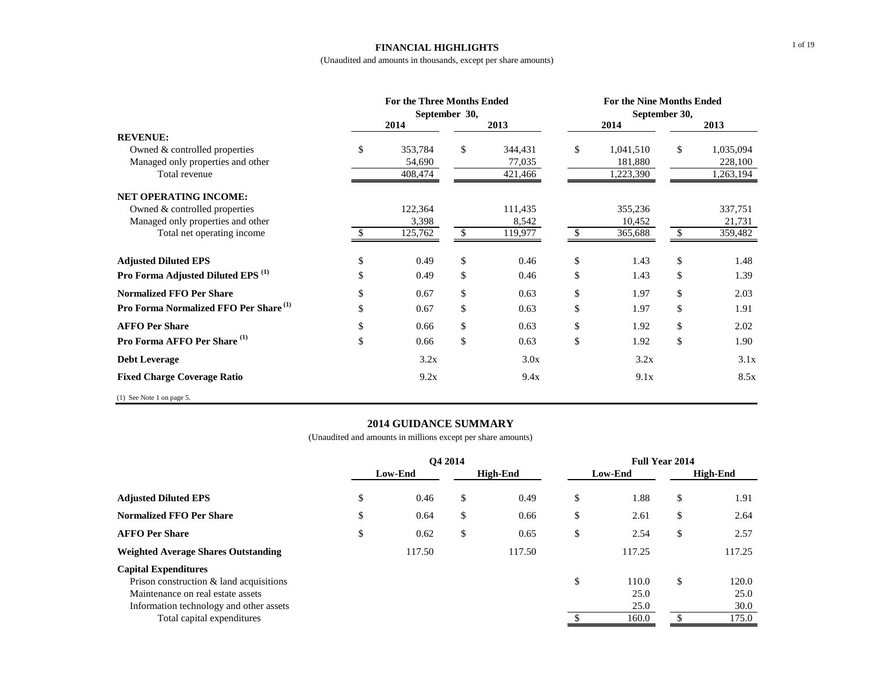#### **FINANCIAL HIGHLIGHTS**

(Unaudited and amounts in thousands, except per share amounts)

|                                                   | <b>For the Three Months Ended</b> |              | <b>For the Nine Months Ended</b><br>September 30, |                 |    |           |  |
|---------------------------------------------------|-----------------------------------|--------------|---------------------------------------------------|-----------------|----|-----------|--|
|                                                   | September 30,<br>2014             |              | 2013                                              | 2014            |    | 2013      |  |
| <b>REVENUE:</b>                                   |                                   |              |                                                   |                 |    |           |  |
| Owned & controlled properties                     | \$<br>353,784                     | \$           | 344,431                                           | \$<br>1,041,510 | \$ | 1,035,094 |  |
| Managed only properties and other                 | 54,690                            |              | 77,035                                            | 181,880         |    | 228,100   |  |
| Total revenue                                     | 408,474                           |              | 421,466                                           | 1,223,390       |    | 1,263,194 |  |
| <b>NET OPERATING INCOME:</b>                      |                                   |              |                                                   |                 |    |           |  |
| Owned & controlled properties                     | 122,364                           |              | 111,435                                           | 355,236         |    | 337,751   |  |
| Managed only properties and other                 | 3,398                             |              | 8,542                                             | 10,452          |    | 21,731    |  |
| Total net operating income                        | 125,762                           | \$.          | 119,977                                           | 365,688         |    | 359,482   |  |
| <b>Adjusted Diluted EPS</b>                       | \$<br>0.49                        | \$           | 0.46                                              | \$<br>1.43      | \$ | 1.48      |  |
| Pro Forma Adjusted Diluted EPS <sup>(1)</sup>     | \$<br>0.49                        | \$           | 0.46                                              | \$<br>1.43      | \$ | 1.39      |  |
| <b>Normalized FFO Per Share</b>                   | \$<br>0.67                        | \$           | 0.63                                              | \$<br>1.97      | \$ | 2.03      |  |
| Pro Forma Normalized FFO Per Share <sup>(1)</sup> | \$<br>0.67                        | $\mathbb{S}$ | 0.63                                              | \$<br>1.97      | \$ | 1.91      |  |
| <b>AFFO Per Share</b>                             | \$<br>0.66                        | \$           | 0.63                                              | \$<br>1.92      | \$ | 2.02      |  |
| Pro Forma AFFO Per Share <sup>(1)</sup>           | \$<br>0.66                        | \$           | 0.63                                              | \$<br>1.92      | \$ | 1.90      |  |
| <b>Debt Leverage</b>                              | 3.2x                              |              | 3.0x                                              | 3.2x            |    | 3.1x      |  |
| <b>Fixed Charge Coverage Ratio</b>                | 9.2x                              |              | 9.4x                                              | 9.1x            |    | 8.5x      |  |
| (1) See Note 1 on page 5.                         |                                   |              |                                                   |                 |    |           |  |

#### **2014 GUIDANCE SUMMARY**

|                                            |            | Q4 2014 | <b>Full Year 2014</b> |             |          |        |  |
|--------------------------------------------|------------|---------|-----------------------|-------------|----------|--------|--|
|                                            | Low-End    |         | <b>High-End</b>       | Low-End     | High-End |        |  |
| <b>Adjusted Diluted EPS</b>                | \$<br>0.46 | \$      | 0.49                  | \$<br>1.88  | \$       | 1.91   |  |
| <b>Normalized FFO Per Share</b>            | \$<br>0.64 | \$      | 0.66                  | \$<br>2.61  | \$       | 2.64   |  |
| <b>AFFO Per Share</b>                      | \$<br>0.62 | \$      | 0.65                  | \$<br>2.54  | \$       | 2.57   |  |
| <b>Weighted Average Shares Outstanding</b> | 117.50     |         | 117.50                | 117.25      |          | 117.25 |  |
| <b>Capital Expenditures</b>                |            |         |                       |             |          |        |  |
| Prison construction $&$ land acquisitions  |            |         |                       | \$<br>110.0 | \$       | 120.0  |  |
| Maintenance on real estate assets          |            |         |                       | 25.0        |          | 25.0   |  |
| Information technology and other assets    |            |         |                       | 25.0        |          | 30.0   |  |
| Total capital expenditures                 |            |         |                       | 160.0       |          | 175.0  |  |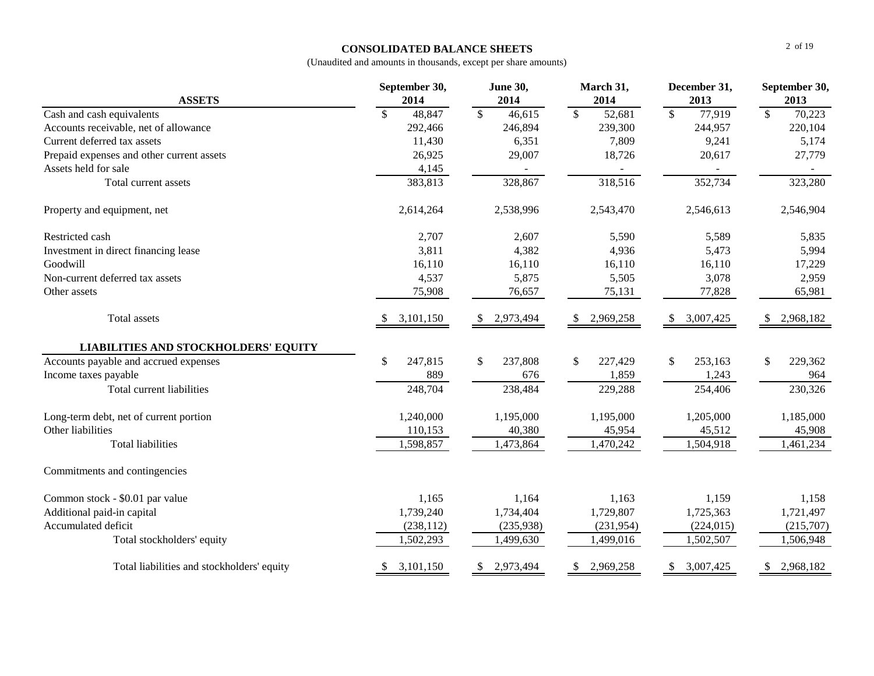#### **CONSOLIDATED BALANCE SHEETS**

|                                             | September 30,                      | <b>June 30,</b>                    | March 31,              | December 31,                       | September 30,                      |
|---------------------------------------------|------------------------------------|------------------------------------|------------------------|------------------------------------|------------------------------------|
| <b>ASSETS</b>                               | 2014                               | 2014                               | 2014                   | 2013                               | 2013                               |
| Cash and cash equivalents                   | $\overline{\mathcal{S}}$<br>48,847 | $\overline{\mathcal{S}}$<br>46,615 | $\mathbb{S}$<br>52,681 | $\overline{\mathcal{S}}$<br>77,919 | $\overline{\mathcal{S}}$<br>70,223 |
| Accounts receivable, net of allowance       | 292,466                            | 246,894                            | 239,300                | 244,957                            | 220,104                            |
| Current deferred tax assets                 | 11,430                             | 6,351                              | 7,809                  | 9,241                              | 5,174                              |
| Prepaid expenses and other current assets   | 26,925                             | 29,007                             | 18,726                 | 20,617                             | 27,779                             |
| Assets held for sale                        | 4,145                              |                                    |                        |                                    |                                    |
| Total current assets                        | 383,813                            | 328,867                            | 318,516                | 352,734                            | 323,280                            |
| Property and equipment, net                 | 2,614,264                          | 2,538,996                          | 2,543,470              | 2,546,613                          | 2,546,904                          |
| Restricted cash                             | 2,707                              | 2,607                              | 5,590                  | 5,589                              | 5,835                              |
| Investment in direct financing lease        | 3,811                              | 4,382                              | 4,936                  | 5,473                              | 5,994                              |
| Goodwill                                    | 16,110                             | 16,110                             | 16,110                 | 16,110                             | 17,229                             |
| Non-current deferred tax assets             | 4,537                              | 5,875                              | 5,505                  | 3,078                              | 2,959                              |
| Other assets                                | 75,908                             | 76,657                             | 75,131                 | 77,828                             | 65,981                             |
| Total assets                                | 3,101,150                          | 2,973,494<br>-S                    | 2,969,258<br>S         | 3,007,425<br>\$                    | 2,968,182<br>S                     |
| <b>LIABILITIES AND STOCKHOLDERS' EQUITY</b> |                                    |                                    |                        |                                    |                                    |
| Accounts payable and accrued expenses       | \$<br>247,815                      | \$<br>237,808                      | \$<br>227,429          | 253,163<br>\$                      | \$<br>229,362                      |
| Income taxes payable                        | 889                                | 676                                | 1,859                  | 1,243                              | 964                                |
| Total current liabilities                   | 248,704                            | 238,484                            | 229,288                | 254,406                            | 230,326                            |
| Long-term debt, net of current portion      | 1,240,000                          | 1,195,000                          | 1,195,000              | 1,205,000                          | 1,185,000                          |
| Other liabilities                           | 110,153                            | 40,380                             | 45,954                 | 45,512                             | 45,908                             |
| <b>Total liabilities</b>                    | 1,598,857                          | 1,473,864                          | 1,470,242              | 1,504,918                          | 1,461,234                          |
| Commitments and contingencies               |                                    |                                    |                        |                                    |                                    |
| Common stock - \$0.01 par value             | 1,165                              | 1,164                              | 1,163                  | 1,159                              | 1,158                              |
| Additional paid-in capital                  | 1,739,240                          | 1,734,404                          | 1,729,807              | 1,725,363                          | 1,721,497                          |
| Accumulated deficit                         | (238, 112)                         | (235,938)                          | (231,954)              | (224, 015)                         | (215,707)                          |
| Total stockholders' equity                  | 1,502,293                          | 1,499,630                          | 1,499,016              | 1,502,507                          | 1,506,948                          |
| Total liabilities and stockholders' equity  | 3,101,150<br>\$.                   | 2,973,494<br>S.                    | 2,969,258<br>\$.       | 3,007,425<br>\$                    | \$2,968,182                        |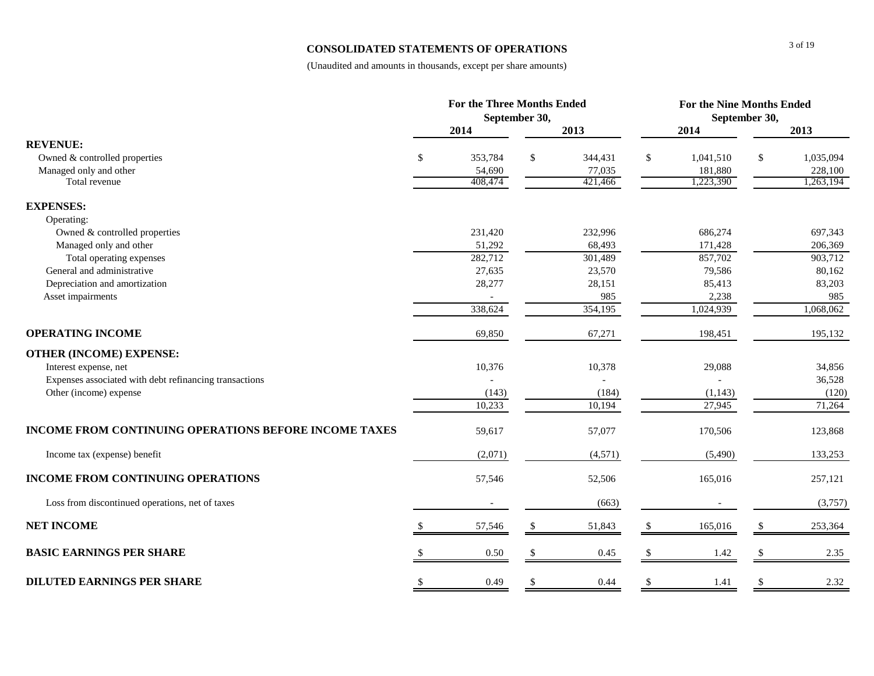#### **CONSOLIDATED STATEMENTS OF OPERATIONS**

|                                                              | <b>For the Three Months Ended</b><br>September 30, |          |    |                              |               | <b>For the Nine Months Ended</b><br>September 30, |               |                  |  |
|--------------------------------------------------------------|----------------------------------------------------|----------|----|------------------------------|---------------|---------------------------------------------------|---------------|------------------|--|
|                                                              |                                                    | 2014     |    | 2013                         |               | 2014                                              |               | 2013             |  |
| <b>REVENUE:</b>                                              |                                                    |          |    |                              |               |                                                   |               |                  |  |
| Owned & controlled properties                                | <sup>\$</sup>                                      | 353,784  | \$ | 344,431                      | \$            | 1,041,510                                         | \$            | 1,035,094        |  |
| Managed only and other                                       |                                                    | 54,690   |    | 77,035                       |               | 181,880                                           |               | 228,100          |  |
| Total revenue                                                |                                                    | 408,474  |    | 421,466                      |               | 1,223,390                                         |               | 1,263,194        |  |
| <b>EXPENSES:</b>                                             |                                                    |          |    |                              |               |                                                   |               |                  |  |
| Operating:                                                   |                                                    |          |    |                              |               |                                                   |               |                  |  |
| Owned & controlled properties                                |                                                    | 231,420  |    | 232,996                      |               | 686,274                                           |               | 697,343          |  |
| Managed only and other                                       |                                                    | 51,292   |    | 68,493                       |               | 171,428                                           |               | 206,369          |  |
| Total operating expenses                                     |                                                    | 282,712  |    | 301,489                      |               | 857,702                                           |               | 903,712          |  |
| General and administrative                                   |                                                    | 27,635   |    | 23,570                       |               | 79,586                                            |               | 80,162           |  |
| Depreciation and amortization                                |                                                    | 28,277   |    | 28,151                       |               | 85,413                                            |               | 83,203           |  |
| Asset impairments                                            |                                                    | 338,624  |    | 985<br>$\overline{354, 195}$ |               | 2,238<br>1,024,939                                |               | 985<br>1,068,062 |  |
|                                                              |                                                    |          |    |                              |               |                                                   |               |                  |  |
| <b>OPERATING INCOME</b>                                      |                                                    | 69,850   |    | 67,271                       |               | 198,451                                           |               | 195,132          |  |
| <b>OTHER (INCOME) EXPENSE:</b>                               |                                                    |          |    |                              |               |                                                   |               |                  |  |
| Interest expense, net                                        |                                                    | 10,376   |    | 10,378                       |               | 29,088                                            |               | 34,856           |  |
| Expenses associated with debt refinancing transactions       |                                                    |          |    |                              |               |                                                   |               | 36,528           |  |
| Other (income) expense                                       |                                                    | (143)    |    | (184)                        |               | (1,143)                                           |               | (120)            |  |
|                                                              |                                                    | 10,233   |    | 10,194                       |               | 27,945                                            |               | 71,264           |  |
| <b>INCOME FROM CONTINUING OPERATIONS BEFORE INCOME TAXES</b> |                                                    | 59,617   |    | 57,077                       |               | 170,506                                           |               | 123,868          |  |
| Income tax (expense) benefit                                 |                                                    | (2,071)  |    | (4,571)                      |               | (5,490)                                           |               | 133,253          |  |
| <b>INCOME FROM CONTINUING OPERATIONS</b>                     |                                                    | 57,546   |    | 52,506                       |               | 165,016                                           |               | 257,121          |  |
| Loss from discontinued operations, net of taxes              |                                                    |          |    | (663)                        |               |                                                   |               | (3,757)          |  |
| <b>NET INCOME</b>                                            |                                                    | 57,546   |    | 51,843                       |               | 165,016                                           | <sup>\$</sup> | 253,364          |  |
| <b>BASIC EARNINGS PER SHARE</b>                              |                                                    | $0.50\,$ |    | 0.45                         | <sup>\$</sup> | 1.42                                              |               | 2.35             |  |
| <b>DILUTED EARNINGS PER SHARE</b>                            | -S                                                 | 0.49     |    | 0.44                         |               | 1.41                                              | S             | 2.32             |  |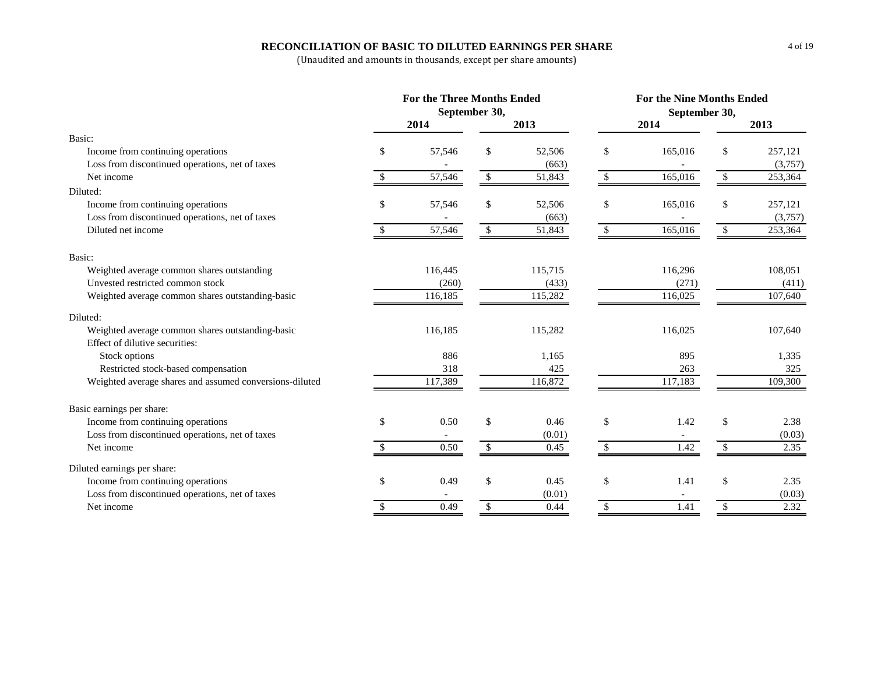#### **RECONCILIATION OF BASIC TO DILUTED EARNINGS PER SHARE**

|                                                         | For the Three Months Ended |                          |               |         |               | <b>For the Nine Months Ended</b> |               |         |  |  |
|---------------------------------------------------------|----------------------------|--------------------------|---------------|---------|---------------|----------------------------------|---------------|---------|--|--|
|                                                         | September 30,              |                          |               |         |               | September 30,                    |               |         |  |  |
|                                                         |                            | 2014                     |               | 2013    |               | 2014                             |               | 2013    |  |  |
| Basic:                                                  |                            |                          |               |         |               |                                  |               |         |  |  |
| Income from continuing operations                       | \$                         | 57,546                   | \$            | 52,506  | \$            | 165,016                          | \$            | 257,121 |  |  |
| Loss from discontinued operations, net of taxes         |                            |                          |               | (663)   |               |                                  |               | (3,757) |  |  |
| Net income                                              | \$.                        | 57,546                   | \$            | 51,843  | -S            | 165,016                          | \$            | 253,364 |  |  |
| Diluted:                                                |                            |                          |               |         |               |                                  |               |         |  |  |
| Income from continuing operations                       | \$                         | 57,546                   | \$            | 52,506  | \$            | 165,016                          | \$            | 257,121 |  |  |
| Loss from discontinued operations, net of taxes         |                            |                          |               | (663)   |               |                                  |               | (3,757) |  |  |
| Diluted net income                                      | <sup>\$</sup>              | 57,546                   | $\sqrt{2}$    | 51,843  | \$            | 165,016                          | $\mathcal{S}$ | 253,364 |  |  |
| Basic:                                                  |                            |                          |               |         |               |                                  |               |         |  |  |
| Weighted average common shares outstanding              |                            | 116,445                  |               | 115,715 |               | 116,296                          |               | 108,051 |  |  |
| Unvested restricted common stock                        |                            | (260)                    |               | (433)   |               | (271)                            |               | (411)   |  |  |
| Weighted average common shares outstanding-basic        |                            | 116,185                  |               | 115,282 |               | 116,025                          |               | 107,640 |  |  |
| Diluted:                                                |                            |                          |               |         |               |                                  |               |         |  |  |
| Weighted average common shares outstanding-basic        |                            | 116,185                  |               | 115,282 |               | 116,025                          |               | 107,640 |  |  |
| Effect of dilutive securities:                          |                            |                          |               |         |               |                                  |               |         |  |  |
| Stock options                                           |                            | 886                      |               | 1,165   |               | 895                              |               | 1,335   |  |  |
| Restricted stock-based compensation                     |                            | 318                      |               | 425     |               | 263                              |               | 325     |  |  |
| Weighted average shares and assumed conversions-diluted |                            | 117,389                  |               | 116,872 |               | 117,183                          |               | 109,300 |  |  |
| Basic earnings per share:                               |                            |                          |               |         |               |                                  |               |         |  |  |
| Income from continuing operations                       | \$                         | 0.50                     | \$            | 0.46    | \$            | 1.42                             | \$            | 2.38    |  |  |
| Loss from discontinued operations, net of taxes         |                            | $\overline{\phantom{a}}$ |               | (0.01)  |               | $\overline{\phantom{a}}$         |               | (0.03)  |  |  |
| Net income                                              |                            | 0.50                     | $\mathcal{S}$ | 0.45    | <sup>\$</sup> | 1.42                             | $\mathbb{S}$  | 2.35    |  |  |
| Diluted earnings per share:                             |                            |                          |               |         |               |                                  |               |         |  |  |
| Income from continuing operations                       | \$                         | 0.49                     | \$            | 0.45    | \$            | 1.41                             | \$            | 2.35    |  |  |
| Loss from discontinued operations, net of taxes         |                            |                          |               | (0.01)  |               |                                  |               | (0.03)  |  |  |
| Net income                                              | \$                         | 0.49                     | \$            | 0.44    | \$            | 1.41                             | \$            | 2.32    |  |  |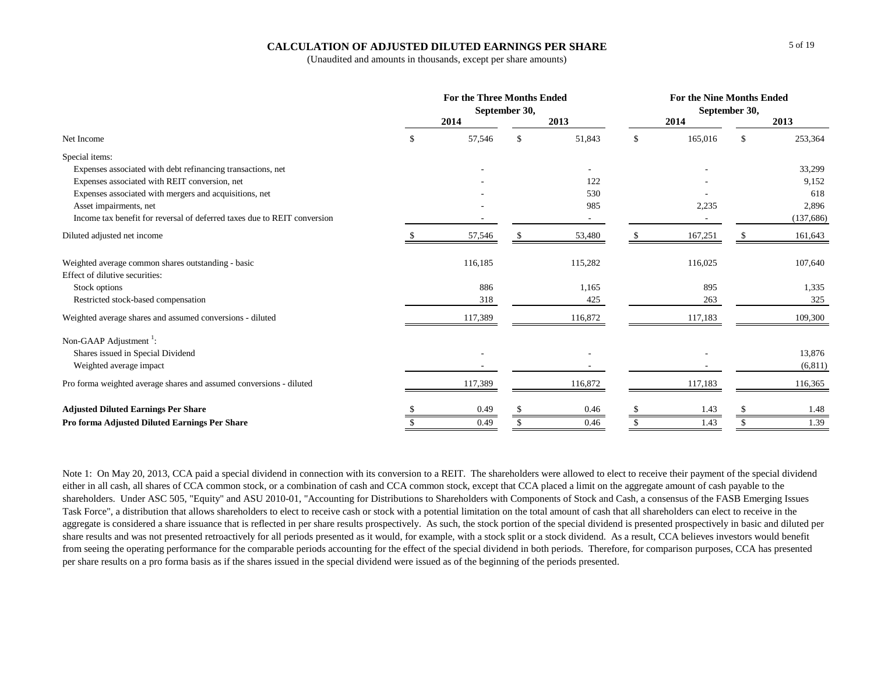#### **CALCULATION OF ADJUSTED DILUTED EARNINGS PER SHARE**

(Unaudited and amounts in thousands, except per share amounts)

|                                                                          | <b>For the Three Months Ended</b><br>September 30, |         |      |         |    | <b>For the Nine Months Ended</b><br>September 30, |    |            |  |  |
|--------------------------------------------------------------------------|----------------------------------------------------|---------|------|---------|----|---------------------------------------------------|----|------------|--|--|
|                                                                          |                                                    | 2014    | 2013 |         |    | 2014                                              |    | 2013       |  |  |
| Net Income                                                               | \$                                                 | 57,546  | \$   | 51,843  | \$ | 165,016                                           | \$ | 253,364    |  |  |
| Special items:                                                           |                                                    |         |      |         |    |                                                   |    |            |  |  |
| Expenses associated with debt refinancing transactions, net              |                                                    |         |      |         |    |                                                   |    | 33,299     |  |  |
| Expenses associated with REIT conversion, net                            |                                                    |         |      | 122     |    |                                                   |    | 9,152      |  |  |
| Expenses associated with mergers and acquisitions, net                   |                                                    |         |      | 530     |    |                                                   |    | 618        |  |  |
| Asset impairments, net                                                   |                                                    |         |      | 985     |    | 2,235                                             |    | 2,896      |  |  |
| Income tax benefit for reversal of deferred taxes due to REIT conversion |                                                    |         |      |         |    |                                                   |    | (137, 686) |  |  |
| Diluted adjusted net income                                              |                                                    | 57,546  |      | 53,480  |    | 167,251                                           |    | 161,643    |  |  |
| Weighted average common shares outstanding - basic                       |                                                    | 116,185 |      | 115,282 |    | 116,025                                           |    | 107,640    |  |  |
| Effect of dilutive securities:                                           |                                                    |         |      |         |    |                                                   |    |            |  |  |
| Stock options                                                            |                                                    | 886     |      | 1,165   |    | 895                                               |    | 1,335      |  |  |
| Restricted stock-based compensation                                      |                                                    | 318     |      | 425     |    | 263                                               |    | 325        |  |  |
| Weighted average shares and assumed conversions - diluted                |                                                    | 117,389 |      | 116,872 |    | 117,183                                           |    | 109,300    |  |  |
| Non-GAAP Adjustment <sup>1</sup> :                                       |                                                    |         |      |         |    |                                                   |    |            |  |  |
| Shares issued in Special Dividend                                        |                                                    |         |      |         |    |                                                   |    | 13,876     |  |  |
| Weighted average impact                                                  |                                                    |         |      |         |    |                                                   |    | (6, 811)   |  |  |
| Pro forma weighted average shares and assumed conversions - diluted      |                                                    | 117,389 |      | 116,872 |    | 117,183                                           |    | 116,365    |  |  |
| <b>Adjusted Diluted Earnings Per Share</b>                               |                                                    | 0.49    |      | 0.46    |    | 1.43                                              |    | 1.48       |  |  |
| Pro forma Adjusted Diluted Earnings Per Share                            |                                                    | 0.49    |      | 0.46    |    | 1.43                                              |    | 1.39       |  |  |

Note 1: On May 20, 2013, CCA paid a special dividend in connection with its conversion to a REIT. The shareholders were allowed to elect to receive their payment of the special dividend either in all cash, all shares of CCA common stock, or a combination of cash and CCA common stock, except that CCA placed a limit on the aggregate amount of cash payable to the shareholders. Under ASC 505, "Equity" and ASU 2010-01, "Accounting for Distributions to Shareholders with Components of Stock and Cash, a consensus of the FASB Emerging Issues Task Force", a distribution that allows shareholders to elect to receive cash or stock with a potential limitation on the total amount of cash that all shareholders can elect to receive in the aggregate is considered a share issuance that is reflected in per share results prospectively. As such, the stock portion of the special dividend is presented prospectively in basic and diluted per share results and was not presented retroactively for all periods presented as it would, for example, with a stock split or a stock dividend. As a result, CCA believes investors would benefit from seeing the operating performance for the comparable periods accounting for the effect of the special dividend in both periods. Therefore, for comparison purposes, CCA has presented per share results on a pro forma basis as if the shares issued in the special dividend were issued as of the beginning of the periods presented.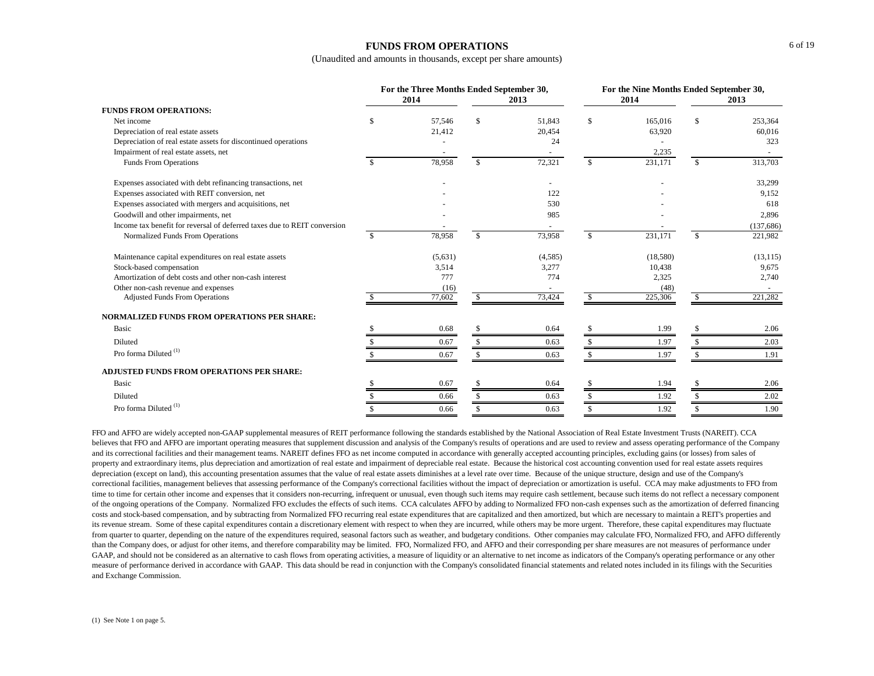#### **FUNDS FROM OPERATIONS**

(Unaudited and amounts in thousands, except per share amounts)

|                                                                          |               | For the Three Months Ended September 30, |               |                          |               |          | For the Nine Months Ended September 30, |           |  |
|--------------------------------------------------------------------------|---------------|------------------------------------------|---------------|--------------------------|---------------|----------|-----------------------------------------|-----------|--|
|                                                                          |               | 2014                                     |               | 2013                     |               | 2014     |                                         | 2013      |  |
| <b>FUNDS FROM OPERATIONS:</b><br>Net income                              | $\mathcal{S}$ | 57,546                                   | \$            | 51,843                   | \$            | 165,016  | \$                                      | 253,364   |  |
| Depreciation of real estate assets                                       |               | 21,412                                   |               | 20,454                   |               | 63,920   |                                         | 60,016    |  |
| Depreciation of real estate assets for discontinued operations           |               |                                          |               | 24                       |               |          |                                         | 323       |  |
| Impairment of real estate assets, net                                    |               |                                          |               |                          |               | 2,235    |                                         |           |  |
| Funds From Operations                                                    | \$            | 78,958                                   | $\mathbb{S}$  | 72,321                   | <sup>\$</sup> | 231,171  | <sup>\$</sup>                           | 313,703   |  |
| Expenses associated with debt refinancing transactions, net              |               |                                          |               | $\overline{\phantom{a}}$ |               |          |                                         | 33,299    |  |
| Expenses associated with REIT conversion, net                            |               |                                          |               | 122                      |               |          |                                         | 9,152     |  |
| Expenses associated with mergers and acquisitions, net                   |               |                                          |               | 530                      |               |          |                                         | 618       |  |
| Goodwill and other impairments, net                                      |               |                                          |               | 985                      |               |          |                                         | 2,896     |  |
| Income tax benefit for reversal of deferred taxes due to REIT conversion |               |                                          |               |                          |               |          |                                         | (137,686) |  |
| Normalized Funds From Operations                                         | <sup>\$</sup> | 78,958                                   | <sup>\$</sup> | 73,958                   | <sup>\$</sup> | 231,171  | $\mathbb{S}$                            | 221,982   |  |
| Maintenance capital expenditures on real estate assets                   |               | (5,631)                                  |               | (4,585)                  |               | (18,580) |                                         | (13, 115) |  |
| Stock-based compensation                                                 |               | 3,514                                    |               | 3,277                    |               | 10,438   |                                         | 9,675     |  |
| Amortization of debt costs and other non-cash interest                   |               | 777                                      |               | 774                      |               | 2,325    |                                         | 2,740     |  |
| Other non-cash revenue and expenses                                      |               | (16)                                     |               |                          |               | (48)     |                                         |           |  |
| <b>Adjusted Funds From Operations</b>                                    |               | 77,602                                   | <sup>\$</sup> | 73,424                   | \$            | 225,306  | \$                                      | 221,282   |  |
| NORMALIZED FUNDS FROM OPERATIONS PER SHARE:                              |               |                                          |               |                          |               |          |                                         |           |  |
| Basic                                                                    |               | 0.68                                     |               | 0.64                     | -S            | 1.99     |                                         | 2.06      |  |
| Diluted                                                                  |               | 0.67                                     |               | 0.63                     | <sup>\$</sup> | 1.97     |                                         | 2.03      |  |
| Pro forma Diluted <sup>(1)</sup>                                         |               | 0.67                                     |               | 0.63                     |               | 1.97     |                                         | 1.91      |  |
| ADJUSTED FUNDS FROM OPERATIONS PER SHARE:                                |               |                                          |               |                          |               |          |                                         |           |  |
| Basic                                                                    |               | 0.67                                     |               | 0.64                     |               | 1.94     |                                         | 2.06      |  |
| Diluted                                                                  |               | 0.66                                     | \$.           | 0.63                     | <sup>\$</sup> | 1.92     | \$.                                     | 2.02      |  |
| Pro forma Diluted <sup>(1)</sup>                                         |               | 0.66                                     |               | 0.63                     |               | 1.92     |                                         | 1.90      |  |

FFO and AFFO are widely accepted non-GAAP supplemental measures of REIT performance following the standards established by the National Association of Real Estate Investment Trusts (NAREIT). CCA believes that FFO and AFFO are important operating measures that supplement discussion and analysis of the Company's results of operations and are used to review and assess operating performance of the Company and its correctional facilities and their management teams. NAREIT defines FFO as net income computed in accordance with generally accepted accounting principles, excluding gains (or losses) from sales of property and extraordinary items, plus depreciation and amortization of real estate and impairment of depreciable real estate. Because the historical cost accounting convention used for real estate assets requires depreciation (except on land), this accounting presentation assumes that the value of real estate assets diminishes at a level rate over time. Because of the unique structure, design and use of the Company's correctional facilities, management believes that assessing performance of the Company's correctional facilities without the impact of depreciation or amortization is useful. CCA may make adjustments to FFO from time to time for certain other income and expenses that it considers non-recurring, infrequent or unusual, even though such items may require cash settlement, because such items do not reflect a necessary component of the ongoing operations of the Company. Normalized FFO excludes the effects of such items. CCA calculates AFFO by adding to Normalized FFO non-cash expenses such as the amortization of deferred financing costs and stock-based compensation, and by subtracting from Normalized FFO recurring real estate expenditures that are capitalized and then amortized, but which are necessary to maintain a REIT's properties and its revenue stream. Some of these capital expenditures contain a discretionary element with respect to when they are incurred, while others may be more urgent. Therefore, these capital expenditures may fluctuate from quarter to quarter, depending on the nature of the expenditures required, seasonal factors such as weather, and budgetary conditions. Other companies may calculate FFO, Normalized FFO, and AFFO differently than the Company does, or adjust for other items, and therefore comparability may be limited. FFO, Normalized FFO, and AFFO and their corresponding per share measures are not measures of performance under GAAP, and should not be considered as an alternative to cash flows from operating activities, a measure of liquidity or an alternative to net income as indicators of the Company's operating performance or any other measure of performance derived in accordance with GAAP. This data should be read in conjunction with the Company's consolidated financial statements and related notes included in its filings with the Securities and Exchange Commission.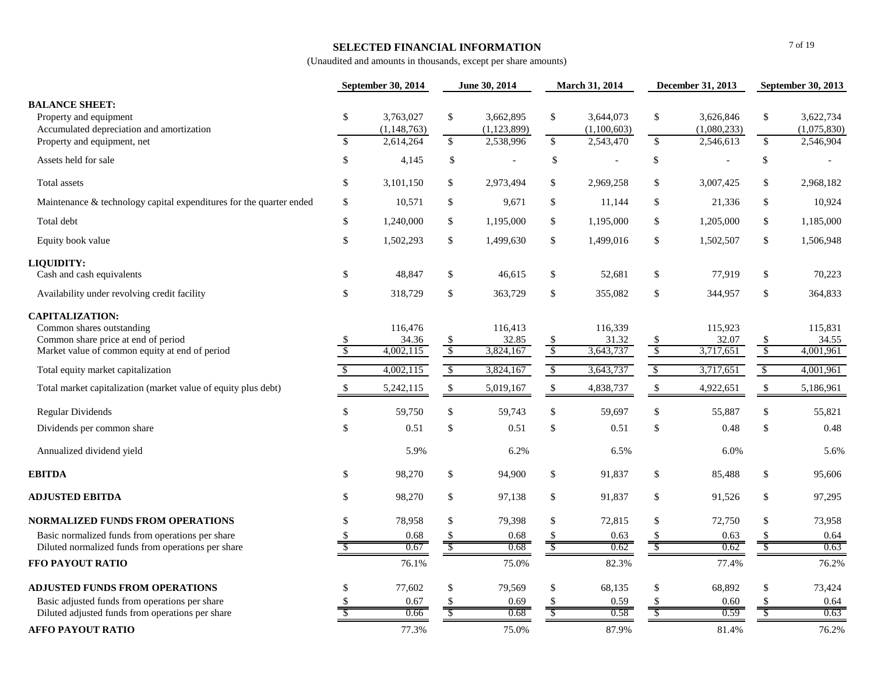### **SELECTED FINANCIAL INFORMATION**

| <b>September 30, 2014</b> |                               |                                                                                     |                                                                  |                                                                                             |                                                                       | December 31, 2013                                                                                   |                                                                    | September 30, 2013                                                         |                                            |
|---------------------------|-------------------------------|-------------------------------------------------------------------------------------|------------------------------------------------------------------|---------------------------------------------------------------------------------------------|-----------------------------------------------------------------------|-----------------------------------------------------------------------------------------------------|--------------------------------------------------------------------|----------------------------------------------------------------------------|--------------------------------------------|
| \$                        | 3,763,027<br>(1, 148, 763)    | \$                                                                                  | 3,662,895<br>(1, 123, 899)                                       | \$                                                                                          | 3,644,073<br>(1,100,603)                                              | $\mathbb{S}$                                                                                        | 3,626,846<br>(1,080,233)                                           | \$                                                                         | 3,622,734<br>(1,075,830)                   |
|                           |                               |                                                                                     |                                                                  |                                                                                             |                                                                       |                                                                                                     |                                                                    |                                                                            | 2,546,904                                  |
| \$                        |                               |                                                                                     |                                                                  |                                                                                             |                                                                       |                                                                                                     |                                                                    | \$                                                                         |                                            |
| \$                        | 3,101,150                     | \$                                                                                  | 2,973,494                                                        | \$                                                                                          | 2,969,258                                                             | $\mathbb{S}$                                                                                        | 3,007,425                                                          | \$                                                                         | 2,968,182                                  |
| \$                        | 10,571                        | \$                                                                                  | 9,671                                                            | \$                                                                                          | 11,144                                                                | \$                                                                                                  | 21,336                                                             | \$                                                                         | 10,924                                     |
| \$                        | 1,240,000                     | \$                                                                                  | 1,195,000                                                        | \$                                                                                          | 1,195,000                                                             | $\mathbb{S}$                                                                                        | 1,205,000                                                          | \$                                                                         | 1,185,000                                  |
| \$                        | 1,502,293                     | \$                                                                                  | 1,499,630                                                        | \$                                                                                          | 1,499,016                                                             | $\boldsymbol{\mathsf{S}}$                                                                           | 1,502,507                                                          | \$                                                                         | 1,506,948                                  |
|                           |                               |                                                                                     |                                                                  |                                                                                             |                                                                       |                                                                                                     |                                                                    |                                                                            |                                            |
|                           |                               |                                                                                     |                                                                  |                                                                                             |                                                                       |                                                                                                     |                                                                    |                                                                            | 70,223                                     |
| \$                        | 318,729                       | \$                                                                                  | 363,729                                                          | \$                                                                                          | 355,082                                                               | $\boldsymbol{\mathsf{S}}$                                                                           | 344,957                                                            | \$                                                                         | 364,833                                    |
| \$<br>$\sqrt{3}$          | 116,476<br>34.36<br>4,002,115 | \$<br>$\sqrt{\ }$                                                                   | 116,413<br>32.85<br>3,824,167                                    | \$<br>$\sqrt[6]{}$                                                                          | 116,339<br>31.32<br>3,643,737                                         | \$<br>$\sqrt[6]{\frac{1}{2}}$                                                                       | 115,923<br>32.07<br>3,717,651                                      | \$<br>$\sqrt{2}$                                                           | 115,831<br>34.55<br>4,001,961              |
| <sup>\$</sup>             |                               | $\mathcal{S}$                                                                       |                                                                  | $\sqrt{2}$                                                                                  |                                                                       | $\mathbb{S}$                                                                                        |                                                                    | $\mathcal{S}$                                                              | 4,001,961                                  |
| \$.                       | 5,242,115                     | \$                                                                                  | 5,019,167                                                        | \$                                                                                          | 4,838,737                                                             | $\boldsymbol{\mathsf{S}}$                                                                           | 4,922,651                                                          | $\boldsymbol{\mathsf{S}}$                                                  | 5,186,961                                  |
| \$                        | 59,750                        | \$                                                                                  | 59,743                                                           | \$                                                                                          | 59,697                                                                | \$                                                                                                  | 55,887                                                             | \$                                                                         | 55,821                                     |
| \$                        | 0.51                          | \$                                                                                  | 0.51                                                             | \$                                                                                          | 0.51                                                                  | $\mathcal{S}$                                                                                       | 0.48                                                               | \$                                                                         | 0.48                                       |
|                           | 5.9%                          |                                                                                     | 6.2%                                                             |                                                                                             | 6.5%                                                                  |                                                                                                     | 6.0%                                                               |                                                                            | 5.6%                                       |
| \$                        | 98,270                        | \$                                                                                  | 94,900                                                           | \$                                                                                          | 91,837                                                                | \$                                                                                                  | 85,488                                                             | \$                                                                         | 95,606                                     |
| \$                        | 98,270                        | \$                                                                                  | 97,138                                                           | \$                                                                                          | 91,837                                                                | $\boldsymbol{\mathsf{S}}$                                                                           | 91,526                                                             | \$                                                                         | 97,295                                     |
| \$                        | 78,958                        | \$                                                                                  | 79,398                                                           | \$                                                                                          | 72,815                                                                | $\boldsymbol{\mathsf{S}}$                                                                           | 72,750                                                             | \$                                                                         | 73,958                                     |
| \$.                       | 0.68                          | \$                                                                                  | 0.68                                                             | \$                                                                                          | 0.63                                                                  | \$                                                                                                  | 0.63                                                               | \$                                                                         | 0.64                                       |
|                           |                               |                                                                                     |                                                                  |                                                                                             |                                                                       |                                                                                                     |                                                                    |                                                                            | 0.63                                       |
|                           |                               |                                                                                     |                                                                  |                                                                                             |                                                                       |                                                                                                     |                                                                    |                                                                            | 76.2%                                      |
| \$                        | 77,602                        | \$                                                                                  | 79,569                                                           | \$                                                                                          | 68,135                                                                | \$                                                                                                  | 68,892                                                             | \$                                                                         | 73,424                                     |
|                           |                               |                                                                                     |                                                                  |                                                                                             |                                                                       |                                                                                                     |                                                                    |                                                                            | 0.64<br>0.63                               |
|                           |                               |                                                                                     |                                                                  |                                                                                             |                                                                       |                                                                                                     |                                                                    |                                                                            | 76.2%                                      |
|                           | \$<br>\$<br>S                 | 2,614,264<br>4,145<br>48,847<br>4,002,115<br>0.67<br>76.1%<br>0.67<br>0.66<br>77.3% | $\mathcal{S}$<br>\$<br>\$<br>$\sqrt$<br>$\overline{\mathcal{S}}$ | June 30, 2014<br>2,538,996<br>46,615<br>3,824,167<br>0.68<br>75.0%<br>0.69<br>0.68<br>75.0% | $\mathbb{S}$<br>\$<br>\$<br>$\overline{\mathcal{S}}$<br>$\mathcal{S}$ | <b>March 31, 2014</b><br>2,543,470<br>52,681<br>3,643,737<br>0.62<br>82.3%<br>0.59<br>0.58<br>87.9% | $\mathbb{S}$<br>\$<br>\$<br>$\sqrt{2}$<br>$\overline{\mathcal{S}}$ | 2,546,613<br>77,919<br>3,717,651<br>0.62<br>77.4%<br>0.60<br>0.59<br>81.4% | \$<br>\$<br>$\mathcal{L}$<br>$\mathcal{S}$ |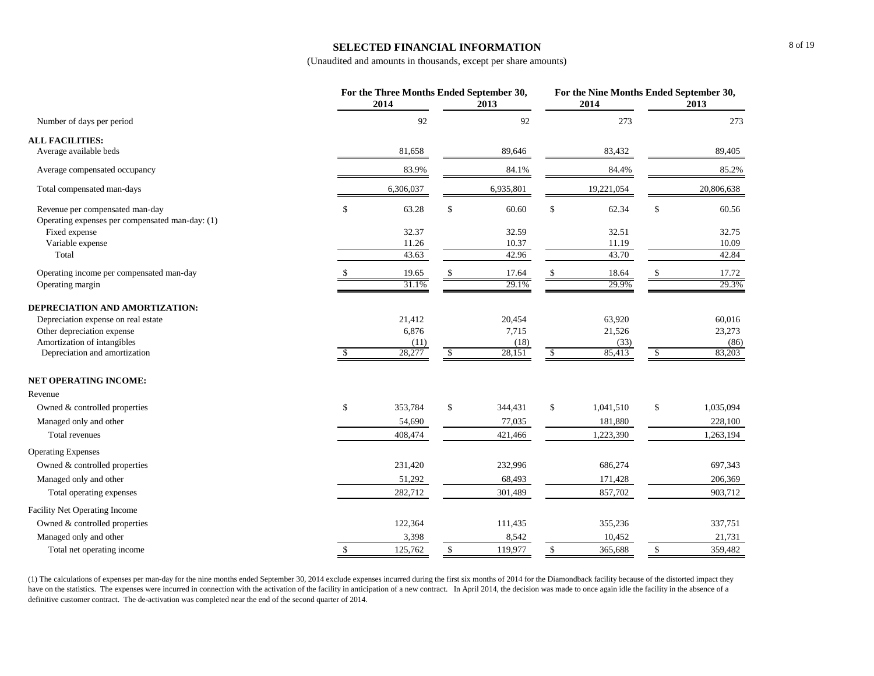#### **SELECTED FINANCIAL INFORMATION**

(Unaudited and amounts in thousands, except per share amounts)

|                                                 |               | For the Three Months Ended September 30,<br>2014 |               | 2013           |                          | For the Nine Months Ended September 30,<br>2014 |            | 2013           |
|-------------------------------------------------|---------------|--------------------------------------------------|---------------|----------------|--------------------------|-------------------------------------------------|------------|----------------|
| Number of days per period                       |               | 92                                               |               | 92             |                          | 273                                             |            | 273            |
| <b>ALL FACILITIES:</b>                          |               |                                                  |               |                |                          |                                                 |            |                |
| Average available beds                          |               | 81,658                                           |               | 89,646         |                          | 83,432                                          |            | 89,405         |
| Average compensated occupancy                   |               | 83.9%                                            |               | 84.1%          |                          | 84.4%                                           |            | 85.2%          |
| Total compensated man-days                      |               | 6,306,037                                        |               | 6,935,801      |                          | 19,221,054                                      |            | 20,806,638     |
| Revenue per compensated man-day                 | \$            | 63.28                                            | \$            | 60.60          | S                        | 62.34                                           | \$         | 60.56          |
| Operating expenses per compensated man-day: (1) |               |                                                  |               |                |                          |                                                 |            |                |
| Fixed expense                                   |               | 32.37                                            |               | 32.59          |                          | 32.51                                           |            | 32.75          |
| Variable expense<br>Total                       |               | 11.26<br>43.63                                   |               | 10.37<br>42.96 |                          | 11.19<br>43.70                                  |            | 10.09<br>42.84 |
|                                                 |               |                                                  |               |                |                          |                                                 |            |                |
| Operating income per compensated man-day        |               | 19.65                                            |               | 17.64          |                          | 18.64                                           |            | 17.72          |
| Operating margin                                |               | 31.1%                                            |               | 29.1%          |                          | 29.9%                                           |            | 29.3%          |
| DEPRECIATION AND AMORTIZATION:                  |               |                                                  |               |                |                          |                                                 |            |                |
| Depreciation expense on real estate             |               | 21,412                                           |               | 20,454         |                          | 63,920                                          |            | 60,016         |
| Other depreciation expense                      |               | 6,876                                            |               | 7,715          |                          | 21,526                                          |            | 23,273         |
| Amortization of intangibles                     |               | (11)                                             |               | (18)           |                          | (33)                                            |            | (86)           |
| Depreciation and amortization                   | $\mathcal{S}$ | 28,277                                           | <sup>\$</sup> | 28,151         | $\overline{\mathcal{S}}$ | 85,413                                          | $\sqrt{2}$ | 83,203         |
| <b>NET OPERATING INCOME:</b>                    |               |                                                  |               |                |                          |                                                 |            |                |
| Revenue                                         |               |                                                  |               |                |                          |                                                 |            |                |
| Owned & controlled properties                   | \$            | 353,784                                          | \$            | 344,431        | \$                       | 1,041,510                                       | \$         | 1,035,094      |
| Managed only and other                          |               | 54,690                                           |               | 77,035         |                          | 181,880                                         |            | 228,100        |
| Total revenues                                  |               | 408,474                                          |               | 421,466        |                          | 1,223,390                                       |            | 1,263,194      |
| <b>Operating Expenses</b>                       |               |                                                  |               |                |                          |                                                 |            |                |
| Owned & controlled properties                   |               | 231,420                                          |               | 232,996        |                          | 686,274                                         |            | 697,343        |
| Managed only and other                          |               | 51,292                                           |               | 68,493         |                          | 171,428                                         |            | 206,369        |
| Total operating expenses                        |               | 282,712                                          |               | 301,489        |                          | 857,702                                         |            | 903,712        |
| Facility Net Operating Income                   |               |                                                  |               |                |                          |                                                 |            |                |
| Owned & controlled properties                   |               | 122,364                                          |               | 111,435        |                          | 355,236                                         |            | 337,751        |
| Managed only and other                          |               | 3,398                                            |               | 8,542          |                          | 10,452                                          |            | 21,731         |
| Total net operating income                      | \$            | 125,762                                          | \$            | 119,977        | $\mathcal{S}$            | 365,688                                         | $\$\,$     | 359,482        |

(1) The calculations of expenses per man-day for the nine months ended September 30, 2014 exclude expenses incurred during the first six months of 2014 for the Diamondback facility because of the distorted impact they have on the statistics. The expenses were incurred in connection with the activation of the facility in anticipation of a new contract. In April 2014, the decision was made to once again idle the facility in the absence of definitive customer contract. The de-activation was completed near the end of the second quarter of 2014.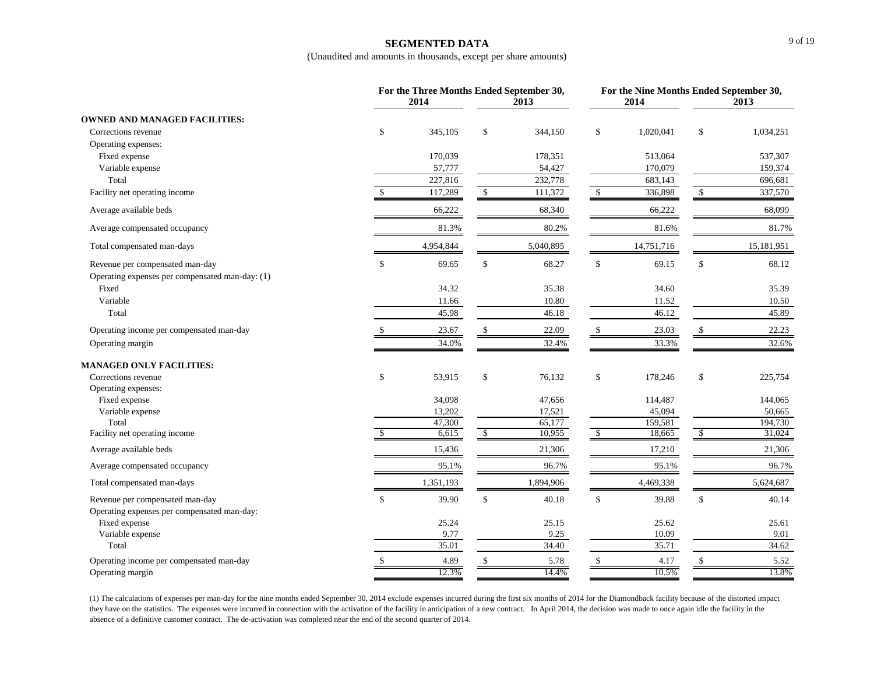#### **SEGMENTED DATA**

(Unaudited and amounts in thousands, except per share amounts)

|                                                                                    |              | For the Three Months Ended September 30,<br>2014<br>2013 |    |           |    | 2014       | For the Nine Months Ended September 30,<br>2013 |            |  |
|------------------------------------------------------------------------------------|--------------|----------------------------------------------------------|----|-----------|----|------------|-------------------------------------------------|------------|--|
| <b>OWNED AND MANAGED FACILITIES:</b>                                               |              |                                                          |    |           |    |            |                                                 |            |  |
| Corrections revenue                                                                | $\mathbb{S}$ | 345,105                                                  | \$ | 344,150   | \$ | 1,020,041  | \$                                              | 1,034,251  |  |
| Operating expenses:                                                                |              |                                                          |    |           |    |            |                                                 |            |  |
| Fixed expense                                                                      |              | 170,039                                                  |    | 178,351   |    | 513,064    |                                                 | 537,307    |  |
| Variable expense                                                                   |              | 57,777                                                   |    | 54,427    |    | 170,079    |                                                 | 159,374    |  |
| Total                                                                              |              | 227,816                                                  |    | 232,778   |    | 683,143    |                                                 | 696,681    |  |
| Facility net operating income                                                      | $\mathbb{S}$ | 117,289                                                  | \$ | 111,372   | \$ | 336,898    | \$                                              | 337,570    |  |
| Average available beds                                                             |              | 66,222                                                   |    | 68,340    |    | 66,222     |                                                 | 68,099     |  |
| Average compensated occupancy                                                      |              | 81.3%                                                    |    | 80.2%     |    | 81.6%      |                                                 | 81.7%      |  |
| Total compensated man-days                                                         |              | 4,954,844                                                |    | 5,040,895 |    | 14,751,716 |                                                 | 15,181,951 |  |
| Revenue per compensated man-day<br>Operating expenses per compensated man-day: (1) | \$           | 69.65                                                    | \$ | 68.27     | \$ | 69.15      | \$                                              | 68.12      |  |
| Fixed                                                                              |              | 34.32                                                    |    | 35.38     |    | 34.60      |                                                 | 35.39      |  |
| Variable                                                                           |              | 11.66                                                    |    | 10.80     |    | 11.52      |                                                 | 10.50      |  |
| Total                                                                              |              | 45.98                                                    |    | 46.18     |    | 46.12      |                                                 | 45.89      |  |
| Operating income per compensated man-day                                           |              | 23.67                                                    |    | 22.09     |    | 23.03      |                                                 | 22.23      |  |
| Operating margin                                                                   |              | 34.0%                                                    |    | 32.4%     |    | 33.3%      |                                                 | 32.6%      |  |
| <b>MANAGED ONLY FACILITIES:</b>                                                    |              |                                                          |    |           |    |            |                                                 |            |  |
| Corrections revenue                                                                | \$           | 53,915                                                   | \$ | 76,132    | \$ | 178,246    | \$                                              | 225,754    |  |
| Operating expenses:                                                                |              |                                                          |    |           |    |            |                                                 |            |  |
| Fixed expense                                                                      |              | 34,098                                                   |    | 47,656    |    | 114,487    |                                                 | 144,065    |  |
| Variable expense                                                                   |              | 13,202                                                   |    | 17,521    |    | 45,094     |                                                 | 50,665     |  |
| Total                                                                              |              | 47,300                                                   |    | 65,177    |    | 159,581    |                                                 | 194,730    |  |
| Facility net operating income                                                      | $\mathbb{S}$ | 6,615                                                    | \$ | 10,955    | \$ | 18,665     | \$                                              | 31,024     |  |
| Average available beds                                                             |              | 15,436                                                   |    | 21,306    |    | 17,210     |                                                 | 21,306     |  |
| Average compensated occupancy                                                      |              | 95.1%                                                    |    | 96.7%     |    | 95.1%      |                                                 | 96.7%      |  |
| Total compensated man-days                                                         |              | 1,351,193                                                |    | 1,894,906 |    | 4,469,338  |                                                 | 5,624,687  |  |
| Revenue per compensated man-day<br>Operating expenses per compensated man-day:     | \$           | 39.90                                                    | \$ | 40.18     | \$ | 39.88      | \$                                              | 40.14      |  |
| Fixed expense                                                                      |              | 25.24                                                    |    | 25.15     |    | 25.62      |                                                 | 25.61      |  |
| Variable expense                                                                   |              | 9.77                                                     |    | 9.25      |    | 10.09      |                                                 | 9.01       |  |
| Total                                                                              |              | 35.01                                                    |    | 34.40     |    | 35.71      |                                                 | 34.62      |  |
| Operating income per compensated man-day                                           |              | 4.89                                                     |    | 5.78      | \$ | 4.17       | \$                                              | 5.52       |  |
| Operating margin                                                                   |              | 12.3%                                                    |    | 14.4%     |    | 10.5%      |                                                 | 13.8%      |  |

(1) The calculations of expenses per man-day for the nine months ended September 30, 2014 exclude expenses incurred during the first six months of 2014 for the Diamondback facility because of the distorted impact they have on the statistics. The expenses were incurred in connection with the activation of the facility in anticipation of a new contract. In April 2014, the decision was made to once again idle the facility in the absence of a definitive customer contract. The de-activation was completed near the end of the second quarter of 2014.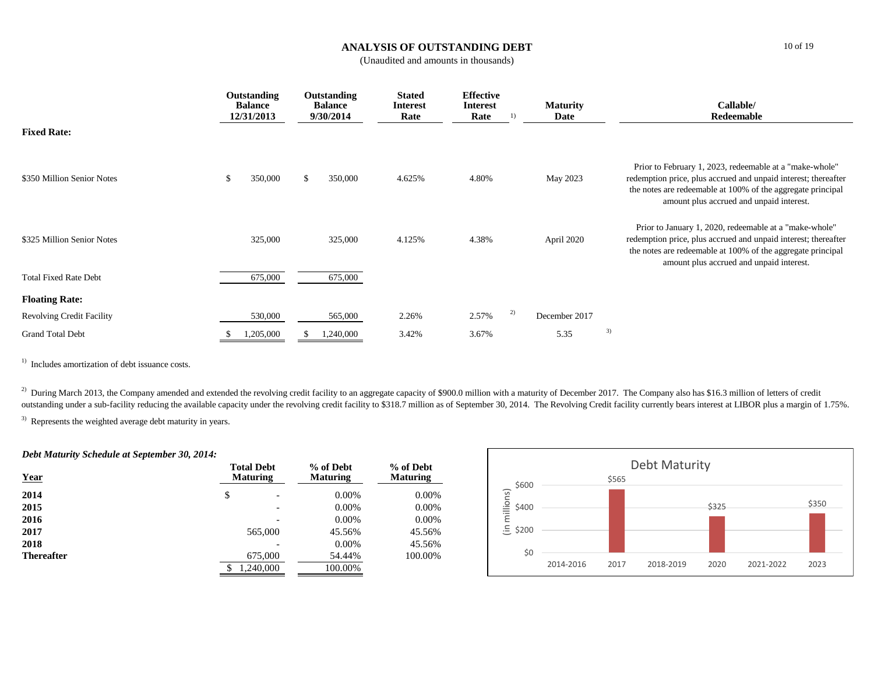#### **ANALYSIS OF OUTSTANDING DEBT**

(Unaudited and amounts in thousands)

|                                  |     | Outstanding<br><b>Balance</b><br>12/31/2013 |               | Outstanding<br><b>Balance</b><br>9/30/2014 | <b>Stated</b><br><b>Interest</b><br>Rate | <b>Effective</b><br><b>Interest</b><br>Rate |    | <b>Maturity</b><br>Date |    | Callable/<br>Redeemable                                                                                                                                                                                                              |
|----------------------------------|-----|---------------------------------------------|---------------|--------------------------------------------|------------------------------------------|---------------------------------------------|----|-------------------------|----|--------------------------------------------------------------------------------------------------------------------------------------------------------------------------------------------------------------------------------------|
| <b>Fixed Rate:</b>               |     |                                             |               |                                            |                                          |                                             |    |                         |    |                                                                                                                                                                                                                                      |
| \$350 Million Senior Notes       | -\$ | 350,000                                     | <sup>\$</sup> | 350,000                                    | 4.625%                                   | 4.80%                                       |    | May 2023                |    | Prior to February 1, 2023, redeemable at a "make-whole"<br>redemption price, plus accrued and unpaid interest; thereafter<br>the notes are redeemable at 100% of the aggregate principal<br>amount plus accrued and unpaid interest. |
| \$325 Million Senior Notes       |     | 325,000                                     |               | 325,000                                    | 4.125%                                   | 4.38%                                       |    | April 2020              |    | Prior to January 1, 2020, redeemable at a "make-whole"<br>redemption price, plus accrued and unpaid interest; thereafter<br>the notes are redeemable at 100% of the aggregate principal<br>amount plus accrued and unpaid interest.  |
| <b>Total Fixed Rate Debt</b>     |     | 675,000                                     |               | 675,000                                    |                                          |                                             |    |                         |    |                                                                                                                                                                                                                                      |
| <b>Floating Rate:</b>            |     |                                             |               |                                            |                                          |                                             |    |                         |    |                                                                                                                                                                                                                                      |
| <b>Revolving Credit Facility</b> |     | 530,000                                     |               | 565,000                                    | 2.26%                                    | 2.57%                                       | 2) | December 2017           |    |                                                                                                                                                                                                                                      |
| <b>Grand Total Debt</b>          |     | 1,205,000                                   |               | 1,240,000                                  | 3.42%                                    | 3.67%                                       |    | 5.35                    | 3) |                                                                                                                                                                                                                                      |

<sup>1)</sup> Includes amortization of debt issuance costs.

<sup>2)</sup> During March 2013, the Company amended and extended the revolving credit facility to an aggregate capacity of \$900.0 million with a maturity of December 2017. The Company also has \$16.3 million of letters of credit outstanding under a sub-facility reducing the available capacity under the revolving credit facility to \$318.7 million as of September 30, 2014. The Revolving Credit facility currently bears interest at LIBOR plus a margin

<sup>3)</sup> Represents the weighted average debt maturity in years.

#### *Debt Maturity Schedule at September 30, 2014:*

| Year              | <b>Total Debt</b><br><b>Maturing</b> | % of Debt<br><b>Maturing</b> | % of Debt<br><b>Maturing</b> |  |
|-------------------|--------------------------------------|------------------------------|------------------------------|--|
| 2014              | \$<br>$\overline{\phantom{0}}$       | $0.00\%$                     | 0.00%                        |  |
| 2015              | $\overline{\phantom{0}}$             | $0.00\%$                     | 0.00%                        |  |
| 2016              | -                                    | $0.00\%$                     | 0.00%                        |  |
| 2017              | 565,000                              | 45.56%                       | 45.56%                       |  |
| 2018              |                                      | 0.00%                        | 45.56%                       |  |
| <b>Thereafter</b> | 675,000                              | 54.44%                       | 100.00%                      |  |
|                   | ,240,000                             | 100.00%                      |                              |  |
|                   |                                      |                              |                              |  |

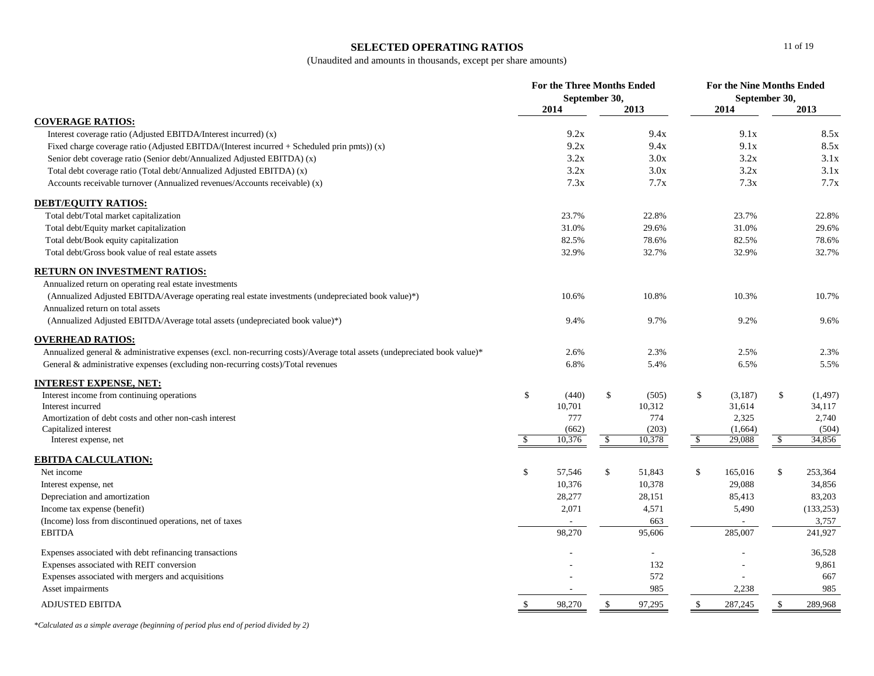### **SELECTED OPERATING RATIOS**

(Unaudited and amounts in thousands, except per share amounts)

|                                                                                                                           | For the Three Months Ended<br>September 30, |                 |               |                 | <b>For the Nine Months Ended</b><br>September 30, |                   |    |                 |
|---------------------------------------------------------------------------------------------------------------------------|---------------------------------------------|-----------------|---------------|-----------------|---------------------------------------------------|-------------------|----|-----------------|
|                                                                                                                           |                                             | 2014            |               | 2013            |                                                   | 2014              |    | 2013            |
| <b>COVERAGE RATIOS:</b>                                                                                                   |                                             |                 |               |                 |                                                   |                   |    |                 |
| Interest coverage ratio (Adjusted EBITDA/Interest incurred) (x)                                                           |                                             | 9.2x            |               | 9.4x            |                                                   | 9.1x              |    | 8.5x            |
| Fixed charge coverage ratio (Adjusted EBITDA/(Interest incurred $+$ Scheduled prin pmts)) (x)                             |                                             | 9.2x            |               | 9.4x            |                                                   | 9.1x              |    | 8.5x            |
| Senior debt coverage ratio (Senior debt/Annualized Adjusted EBITDA) (x)                                                   |                                             | 3.2x            |               | 3.0x            |                                                   | 3.2x              |    | 3.1x            |
| Total debt coverage ratio (Total debt/Annualized Adjusted EBITDA) (x)                                                     |                                             | 3.2x            |               | 3.0x            |                                                   | 3.2x              |    | 3.1x            |
| Accounts receivable turnover (Annualized revenues/Accounts receivable) (x)                                                |                                             | 7.3x            |               | 7.7x            |                                                   | 7.3x              |    | 7.7x            |
| <b>DEBT/EQUITY RATIOS:</b>                                                                                                |                                             |                 |               |                 |                                                   |                   |    |                 |
| Total debt/Total market capitalization                                                                                    |                                             | 23.7%           |               | 22.8%           |                                                   | 23.7%             |    | 22.8%           |
| Total debt/Equity market capitalization                                                                                   |                                             | 31.0%           |               | 29.6%           |                                                   | 31.0%             |    | 29.6%           |
| Total debt/Book equity capitalization                                                                                     |                                             | 82.5%           |               | 78.6%           |                                                   | 82.5%             |    | 78.6%           |
| Total debt/Gross book value of real estate assets                                                                         |                                             | 32.9%           |               | 32.7%           |                                                   | 32.9%             |    | 32.7%           |
| <b>RETURN ON INVESTMENT RATIOS:</b>                                                                                       |                                             |                 |               |                 |                                                   |                   |    |                 |
| Annualized return on operating real estate investments                                                                    |                                             |                 |               |                 |                                                   |                   |    |                 |
| (Annualized Adjusted EBITDA/Average operating real estate investments (undepreciated book value)*)                        |                                             | 10.6%           |               | 10.8%           |                                                   | 10.3%             |    | 10.7%           |
| Annualized return on total assets                                                                                         |                                             |                 |               |                 |                                                   |                   |    |                 |
| (Annualized Adjusted EBITDA/Average total assets (undepreciated book value)*)                                             |                                             | 9.4%            |               | 9.7%            |                                                   | 9.2%              |    | 9.6%            |
| <b>OVERHEAD RATIOS:</b>                                                                                                   |                                             |                 |               |                 |                                                   |                   |    |                 |
| Annualized general & administrative expenses (excl. non-recurring costs)/Average total assets (undepreciated book value)* |                                             | 2.6%            |               | 2.3%            |                                                   | 2.5%              |    | 2.3%            |
| General & administrative expenses (excluding non-recurring costs)/Total revenues                                          |                                             | 6.8%            |               | 5.4%            |                                                   | 6.5%              |    | 5.5%            |
| <b>INTEREST EXPENSE, NET:</b>                                                                                             |                                             |                 |               |                 |                                                   |                   |    |                 |
| Interest income from continuing operations                                                                                | $\$$                                        | (440)           | \$            | (505)           | \$                                                | (3,187)           | \$ | (1, 497)        |
| Interest incurred                                                                                                         |                                             | 10,701          |               | 10,312          |                                                   | 31,614            |    | 34,117          |
| Amortization of debt costs and other non-cash interest                                                                    |                                             | 777             |               | 774             |                                                   | 2,325             |    | 2,740           |
| Capitalized interest                                                                                                      |                                             | (662)<br>10,376 | <sup>\$</sup> | (203)<br>10,378 | <b>S</b>                                          | (1,664)<br>29,088 | \$ | (504)<br>34,856 |
| Interest expense, net                                                                                                     |                                             |                 |               |                 |                                                   |                   |    |                 |
| <b>EBITDA CALCULATION:</b>                                                                                                |                                             |                 |               |                 |                                                   |                   |    |                 |
| Net income                                                                                                                | \$                                          | 57,546          | \$            | 51,843          | \$                                                | 165,016           | \$ | 253,364         |
| Interest expense, net                                                                                                     |                                             | 10,376          |               | 10,378          |                                                   | 29,088            |    | 34,856          |
| Depreciation and amortization                                                                                             |                                             | 28,277          |               | 28,151          |                                                   | 85,413            |    | 83,203          |
| Income tax expense (benefit)                                                                                              |                                             | 2,071           |               | 4,571           |                                                   | 5,490             |    | (133, 253)      |
| (Income) loss from discontinued operations, net of taxes                                                                  |                                             |                 |               | 663             |                                                   |                   |    | 3,757           |
| <b>EBITDA</b>                                                                                                             |                                             | 98,270          |               | 95,606          |                                                   | 285,007           |    | 241,927         |
| Expenses associated with debt refinancing transactions                                                                    |                                             |                 |               |                 |                                                   |                   |    | 36,528          |
| Expenses associated with REIT conversion                                                                                  |                                             |                 |               | 132             |                                                   |                   |    | 9,861           |
| Expenses associated with mergers and acquisitions                                                                         |                                             |                 |               | 572             |                                                   |                   |    | 667             |
| Asset impairments                                                                                                         |                                             |                 |               | 985             |                                                   | 2,238             |    | 985             |
| ADJUSTED EBITDA                                                                                                           |                                             | 98,270          |               | 97,295          |                                                   | 287,245           |    | 289,968         |

*\*Calculated as a simple average (beginning of period plus end of period divided by 2)*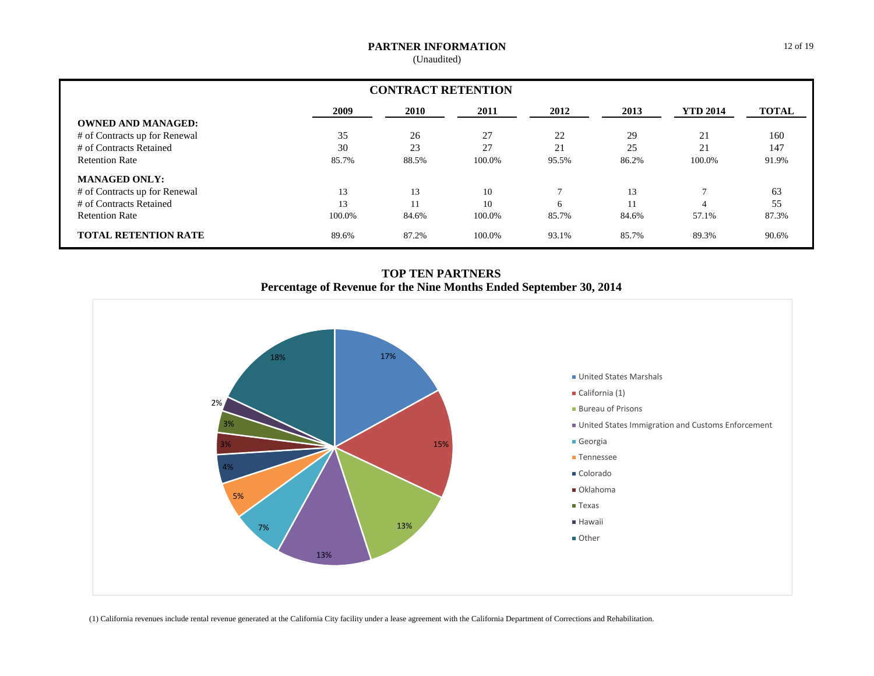### **PARTNER INFORMATION**

(Unaudited)

| <b>CONTRACT RETENTION</b>     |        |       |        |       |       |                 |              |  |
|-------------------------------|--------|-------|--------|-------|-------|-----------------|--------------|--|
|                               | 2009   | 2010  | 2011   | 2012  | 2013  | <b>YTD 2014</b> | <b>TOTAL</b> |  |
| <b>OWNED AND MANAGED:</b>     |        |       |        |       |       |                 |              |  |
| # of Contracts up for Renewal | 35     | 26    | 27     | 22    | 29    | 21              | 160          |  |
| # of Contracts Retained       | 30     | 23    | 27     | 21    | 25    | 21              | 147          |  |
| <b>Retention Rate</b>         | 85.7%  | 88.5% | 100.0% | 95.5% | 86.2% | 100.0%          | 91.9%        |  |
| <b>MANAGED ONLY:</b>          |        |       |        |       |       |                 |              |  |
| # of Contracts up for Renewal | 13     | 13    | 10     | 7     | 13    | 7               | 63           |  |
| # of Contracts Retained       | 13     | 11    | 10     | 6     | 11    | 4               | 55           |  |
| <b>Retention Rate</b>         | 100.0% | 84.6% | 100.0% | 85.7% | 84.6% | 57.1%           | 87.3%        |  |
| <b>TOTAL RETENTION RATE</b>   | 89.6%  | 87.2% | 100.0% | 93.1% | 85.7% | 89.3%           | 90.6%        |  |

**TOP TEN PARTNERS Percentage of Revenue for the Nine Months Ended September 30, 2014**



(1) California revenues include rental revenue generated at the California City facility under a lease agreement with the California Department of Corrections and Rehabilitation.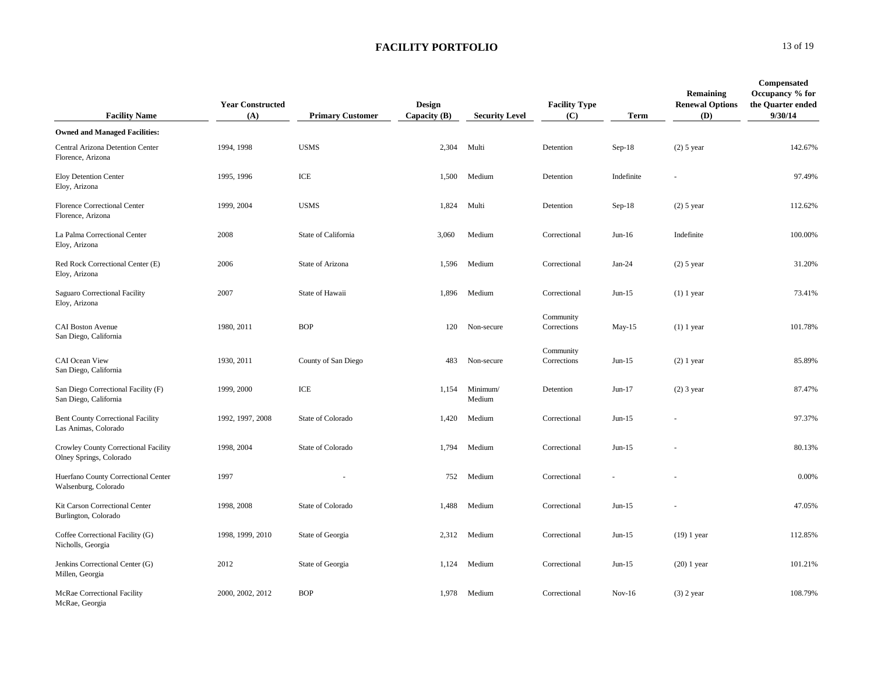# **FACILITY PORTFOLIO** 13 of 19

| <b>Facility Name</b>                                             | <b>Year Constructed</b><br>(A) | <b>Primary Customer</b> | Design<br>Capacity $(B)$ | <b>Security Level</b> | <b>Facility Type</b><br>(C) | <b>Term</b> | Remaining<br><b>Renewal Options</b><br><b>(D)</b> | Compensated<br>Occupancy % for<br>the Quarter ended<br>9/30/14 |
|------------------------------------------------------------------|--------------------------------|-------------------------|--------------------------|-----------------------|-----------------------------|-------------|---------------------------------------------------|----------------------------------------------------------------|
| <b>Owned and Managed Facilities:</b>                             |                                |                         |                          |                       |                             |             |                                                   |                                                                |
| Central Arizona Detention Center<br>Florence, Arizona            | 1994, 1998                     | <b>USMS</b>             | 2,304                    | Multi                 | Detention                   | $Sep-18$    | $(2)$ 5 year                                      | 142.67%                                                        |
| Eloy Detention Center<br>Eloy, Arizona                           | 1995, 1996                     | ICE                     | 1,500                    | Medium                | Detention                   | Indefinite  | $\overline{a}$                                    | 97.49%                                                         |
| <b>Florence Correctional Center</b><br>Florence, Arizona         | 1999, 2004                     | <b>USMS</b>             | 1,824                    | Multi                 | Detention                   | Sep-18      | $(2)$ 5 year                                      | 112.62%                                                        |
| La Palma Correctional Center<br>Eloy, Arizona                    | 2008                           | State of California     | 3,060                    | Medium                | Correctional                | $Jun-16$    | Indefinite                                        | 100.00%                                                        |
| Red Rock Correctional Center (E)<br>Eloy, Arizona                | 2006                           | State of Arizona        | 1,596                    | Medium                | Correctional                | $Jan-24$    | $(2)$ 5 year                                      | 31.20%                                                         |
| Saguaro Correctional Facility<br>Eloy, Arizona                   | 2007                           | State of Hawaii         | 1,896                    | Medium                | Correctional                | $Jun-15$    | $(1)$ 1 year                                      | 73.41%                                                         |
| <b>CAI Boston Avenue</b><br>San Diego, California                | 1980, 2011                     | <b>BOP</b>              | 120                      | Non-secure            | Community<br>Corrections    | May-15      | $(1)$ 1 year                                      | 101.78%                                                        |
| CAI Ocean View<br>San Diego, California                          | 1930, 2011                     | County of San Diego     | 483                      | Non-secure            | Community<br>Corrections    | $Jun-15$    | $(2)$ 1 year                                      | 85.89%                                                         |
| San Diego Correctional Facility (F)<br>San Diego, California     | 1999, 2000                     | ICE                     | 1,154                    | Minimum/<br>Medium    | Detention                   | $Jun-17$    | $(2)$ 3 year                                      | 87.47%                                                         |
| <b>Bent County Correctional Facility</b><br>Las Animas, Colorado | 1992, 1997, 2008               | State of Colorado       | 1,420                    | Medium                | Correctional                | $Jun-15$    | $\overline{\phantom{0}}$                          | 97.37%                                                         |
| Crowley County Correctional Facility<br>Olney Springs, Colorado  | 1998, 2004                     | State of Colorado       | 1,794                    | Medium                | Correctional                | $Jun-15$    | $\overline{\phantom{a}}$                          | 80.13%                                                         |
| Huerfano County Correctional Center<br>Walsenburg, Colorado      | 1997                           |                         | 752                      | Medium                | Correctional                |             |                                                   | $0.00\%$                                                       |
| Kit Carson Correctional Center<br>Burlington, Colorado           | 1998, 2008                     | State of Colorado       | 1,488                    | Medium                | Correctional                | $Jun-15$    | $\overline{\phantom{a}}$                          | 47.05%                                                         |
| Coffee Correctional Facility (G)<br>Nicholls, Georgia            | 1998, 1999, 2010               | State of Georgia        | 2,312                    | Medium                | Correctional                | $Jun-15$    | $(19)$ 1 year                                     | 112.85%                                                        |
| Jenkins Correctional Center (G)<br>Millen, Georgia               | 2012                           | State of Georgia        | 1,124                    | Medium                | Correctional                | $Jun-15$    | $(20)$ 1 year                                     | 101.21%                                                        |
| McRae Correctional Facility<br>McRae, Georgia                    | 2000, 2002, 2012               | <b>BOP</b>              | 1,978                    | Medium                | Correctional                | $Nov-16$    | $(3)$ 2 year                                      | 108.79%                                                        |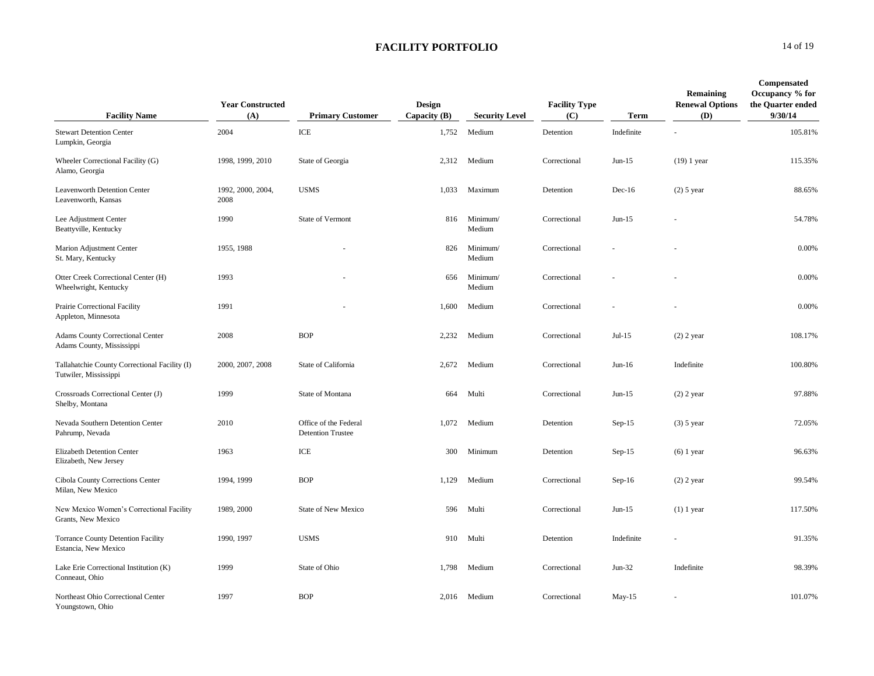# **FACILITY PORTFOLIO** 14 of 19

| <b>Facility Name</b>                                                   | <b>Year Constructed</b><br>(A) | <b>Primary Customer</b>                           | <b>Design</b><br>Capacity (B) | <b>Security Level</b> | <b>Facility Type</b><br>(C) | <b>Term</b> | <b>Remaining</b><br><b>Renewal Options</b><br>(D) | <b>Compensated</b><br>Occupancy % for<br>the Quarter ended<br>9/30/14 |
|------------------------------------------------------------------------|--------------------------------|---------------------------------------------------|-------------------------------|-----------------------|-----------------------------|-------------|---------------------------------------------------|-----------------------------------------------------------------------|
| <b>Stewart Detention Center</b><br>Lumpkin, Georgia                    | 2004                           | ICE                                               | 1,752                         | Medium                | Detention                   | Indefinite  |                                                   | 105.81%                                                               |
| Wheeler Correctional Facility (G)<br>Alamo, Georgia                    | 1998, 1999, 2010               | State of Georgia                                  | 2,312                         | Medium                | Correctional                | $Jun-15$    | $(19)$ 1 year                                     | 115.35%                                                               |
| Leavenworth Detention Center<br>Leavenworth, Kansas                    | 1992, 2000, 2004,<br>2008      | <b>USMS</b>                                       | 1,033                         | Maximum               | Detention                   | $Dec-16$    | $(2)$ 5 year                                      | 88.65%                                                                |
| Lee Adjustment Center<br>Beattyville, Kentucky                         | 1990                           | State of Vermont                                  | 816                           | Minimum/<br>Medium    | Correctional                | $Jun-15$    | $\overline{\phantom{a}}$                          | 54.78%                                                                |
| Marion Adjustment Center<br>St. Mary, Kentucky                         | 1955, 1988                     |                                                   | 826                           | Minimum/<br>Medium    | Correctional                |             |                                                   | 0.00%                                                                 |
| Otter Creek Correctional Center (H)<br>Wheelwright, Kentucky           | 1993                           |                                                   | 656                           | Minimum/<br>Medium    | Correctional                |             |                                                   | 0.00%                                                                 |
| Prairie Correctional Facility<br>Appleton, Minnesota                   | 1991                           |                                                   | 1,600                         | Medium                | Correctional                |             |                                                   | 0.00%                                                                 |
| <b>Adams County Correctional Center</b><br>Adams County, Mississippi   | 2008                           | <b>BOP</b>                                        | 2,232                         | Medium                | Correctional                | $Jul-15$    | $(2)$ 2 year                                      | 108.17%                                                               |
| Tallahatchie County Correctional Facility (I)<br>Tutwiler, Mississippi | 2000, 2007, 2008               | State of California                               | 2,672                         | Medium                | Correctional                | $Jun-16$    | Indefinite                                        | 100.80%                                                               |
| Crossroads Correctional Center (J)<br>Shelby, Montana                  | 1999                           | State of Montana                                  | 664                           | Multi                 | Correctional                | $Jun-15$    | $(2)$ 2 year                                      | 97.88%                                                                |
| Nevada Southern Detention Center<br>Pahrump, Nevada                    | 2010                           | Office of the Federal<br><b>Detention Trustee</b> | 1,072                         | Medium                | Detention                   | $Sep-15$    | $(3)$ 5 year                                      | 72.05%                                                                |
| Elizabeth Detention Center<br>Elizabeth, New Jersey                    | 1963                           | ICE                                               | 300                           | Minimum               | Detention                   | $Sep-15$    | $(6)$ 1 year                                      | 96.63%                                                                |
| Cibola County Corrections Center<br>Milan, New Mexico                  | 1994, 1999                     | <b>BOP</b>                                        | 1,129                         | Medium                | Correctional                | Sep-16      | $(2)$ 2 year                                      | 99.54%                                                                |
| New Mexico Women's Correctional Facility<br>Grants, New Mexico         | 1989, 2000                     | <b>State of New Mexico</b>                        | 596                           | Multi                 | Correctional                | $Jun-15$    | $(1)$ 1 year                                      | 117.50%                                                               |
| <b>Torrance County Detention Facility</b><br>Estancia, New Mexico      | 1990, 1997                     | <b>USMS</b>                                       | 910                           | Multi                 | Detention                   | Indefinite  |                                                   | 91.35%                                                                |
| Lake Erie Correctional Institution (K)<br>Conneaut, Ohio               | 1999                           | State of Ohio                                     | 1,798                         | Medium                | Correctional                | $Jun-32$    | Indefinite                                        | 98.39%                                                                |
| Northeast Ohio Correctional Center<br>Youngstown, Ohio                 | 1997                           | <b>BOP</b>                                        | 2,016                         | Medium                | Correctional                | May-15      | $\overline{\phantom{a}}$                          | 101.07%                                                               |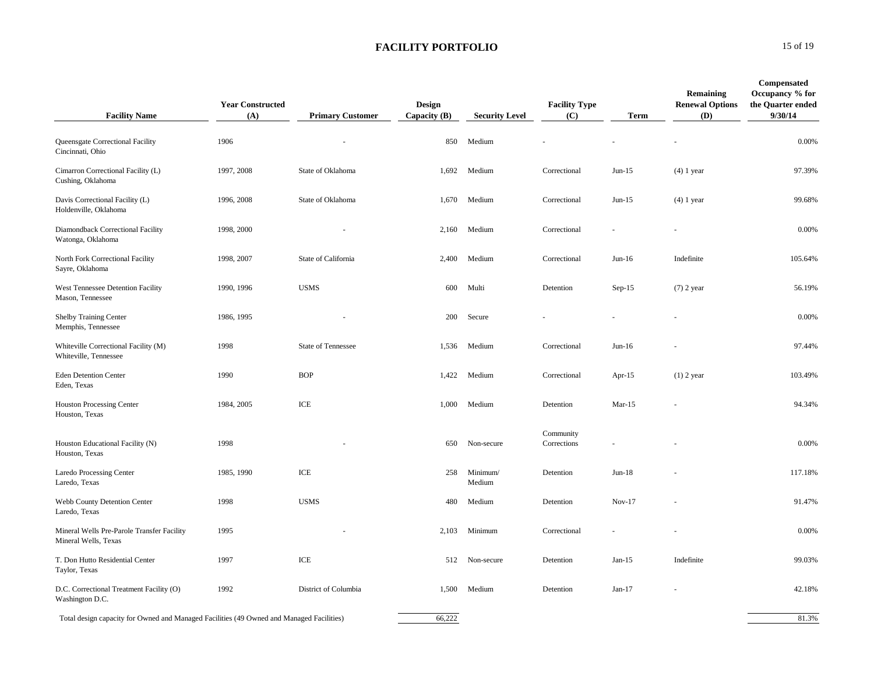## **FACILITY PORTFOLIO** 15 of 19

| <b>Facility Name</b>                                               | <b>Year Constructed</b><br>(A) | <b>Primary Customer</b>              | Design<br>Capacity (B) | <b>Security Level</b> | <b>Facility Type</b><br>(C) | <b>Term</b>              | Remaining<br><b>Renewal Options</b><br>(D) | Compensated<br>Occupancy % for<br>the Quarter ended<br>9/30/14 |
|--------------------------------------------------------------------|--------------------------------|--------------------------------------|------------------------|-----------------------|-----------------------------|--------------------------|--------------------------------------------|----------------------------------------------------------------|
| Queensgate Correctional Facility<br>Cincinnati, Ohio               | 1906                           | $\overline{\phantom{a}}$             | 850                    | Medium                |                             |                          |                                            | 0.00%                                                          |
| Cimarron Correctional Facility (L)<br>Cushing, Oklahoma            | 1997, 2008                     | State of Oklahoma                    | 1,692                  | Medium                | Correctional                | $Jun-15$                 | $(4)$ 1 year                               | 97.39%                                                         |
| Davis Correctional Facility (L)<br>Holdenville, Oklahoma           | 1996, 2008                     | State of Oklahoma                    | 1,670                  | Medium                | Correctional                | $Jun-15$                 | $(4)$ 1 year                               | 99.68%                                                         |
| Diamondback Correctional Facility<br>Watonga, Oklahoma             | 1998, 2000                     |                                      | 2,160                  | Medium                | Correctional                | $\overline{\phantom{0}}$ |                                            | 0.00%                                                          |
| North Fork Correctional Facility<br>Sayre, Oklahoma                | 1998, 2007                     | State of California                  | 2,400                  | Medium                | Correctional                | $Jun-16$                 | Indefinite                                 | 105.64%                                                        |
| West Tennessee Detention Facility<br>Mason, Tennessee              | 1990, 1996                     | <b>USMS</b>                          | 600                    | Multi                 | Detention                   | $Sep-15$                 | $(7)$ 2 year                               | 56.19%                                                         |
| <b>Shelby Training Center</b><br>Memphis, Tennessee                | 1986, 1995                     |                                      | 200                    | Secure                |                             |                          |                                            | 0.00%                                                          |
| Whiteville Correctional Facility (M)<br>Whiteville, Tennessee      | 1998                           | State of Tennessee                   | 1,536                  | Medium                | Correctional                | $Jun-16$                 |                                            | 97.44%                                                         |
| <b>Eden Detention Center</b><br>Eden, Texas                        | 1990                           | <b>BOP</b>                           | 1,422                  | Medium                | Correctional                | Apr- $15$                | $(1)$ 2 year                               | 103.49%                                                        |
| Houston Processing Center<br>Houston, Texas                        | 1984, 2005                     | ICE                                  | 1,000                  | Medium                | Detention                   | $Mar-15$                 | $\overline{\phantom{a}}$                   | 94.34%                                                         |
| Houston Educational Facility (N)<br>Houston, Texas                 | 1998                           |                                      | 650                    | Non-secure            | Community<br>Corrections    |                          |                                            | 0.00%                                                          |
| Laredo Processing Center<br>Laredo, Texas                          | 1985, 1990                     | ICE                                  | 258                    | Minimum/<br>Medium    | Detention                   | $Jun-18$                 |                                            | 117.18%                                                        |
| Webb County Detention Center<br>Laredo, Texas                      | 1998                           | <b>USMS</b>                          | 480                    | Medium                | Detention                   | $Nov-17$                 |                                            | 91.47%                                                         |
| Mineral Wells Pre-Parole Transfer Facility<br>Mineral Wells, Texas | 1995                           |                                      | 2,103                  | Minimum               | Correctional                | $\overline{\phantom{a}}$ |                                            | 0.00%                                                          |
| T. Don Hutto Residential Center<br>Taylor, Texas                   | 1997                           | $\ensuremath{\textup{\textbf{ICE}}}$ | 512                    | Non-secure            | Detention                   | $Jan-15$                 | Indefinite                                 | 99.03%                                                         |
| D.C. Correctional Treatment Facility (O)<br>Washington D.C.        | 1992                           | District of Columbia                 | 1,500                  | Medium                | Detention                   | $Jan-17$                 | $\overline{\phantom{a}}$                   | 42.18%                                                         |
|                                                                    |                                |                                      |                        |                       |                             |                          |                                            |                                                                |

Total design capacity for Owned and Managed Facilities (49 Owned and Managed Facilities) 66,222 81.3%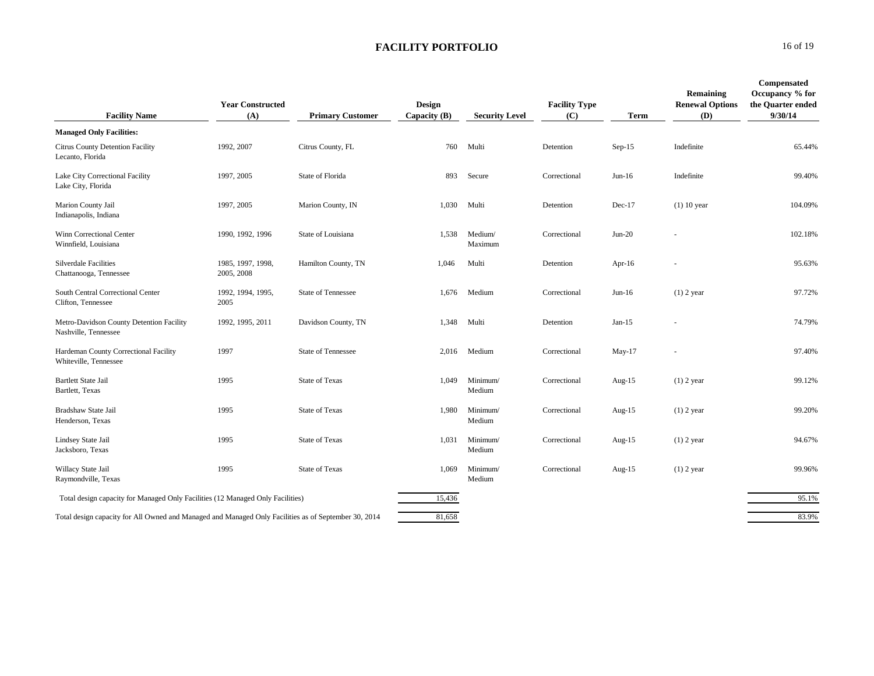## **FACILITY PORTFOLIO** 16 of 19

| <b>Facility Name</b>                                                                                 | <b>Year Constructed</b><br>(A)  | <b>Primary Customer</b> | <b>Design</b><br>Capacity (B) | <b>Security Level</b> | <b>Facility Type</b><br>(C) | <b>Term</b> | Remaining<br><b>Renewal Options</b><br><b>(D)</b> | Compensated<br>Occupancy % for<br>the Quarter ended<br>9/30/14 |
|------------------------------------------------------------------------------------------------------|---------------------------------|-------------------------|-------------------------------|-----------------------|-----------------------------|-------------|---------------------------------------------------|----------------------------------------------------------------|
| <b>Managed Only Facilities:</b>                                                                      |                                 |                         |                               |                       |                             |             |                                                   |                                                                |
| <b>Citrus County Detention Facility</b><br>Lecanto, Florida                                          | 1992, 2007                      | Citrus County, FL       | 760                           | Multi                 | Detention                   | $Sep-15$    | Indefinite                                        | 65.44%                                                         |
| Lake City Correctional Facility<br>Lake City, Florida                                                | 1997, 2005                      | State of Florida        | 893                           | Secure                | Correctional                | $Jun-16$    | Indefinite                                        | 99.40%                                                         |
| Marion County Jail<br>Indianapolis, Indiana                                                          | 1997, 2005                      | Marion County, IN       | 1,030                         | Multi                 | Detention                   | $Dec-17$    | $(1)$ 10 year                                     | 104.09%                                                        |
| Winn Correctional Center<br>Winnfield, Louisiana                                                     | 1990, 1992, 1996                | State of Louisiana      | 1,538                         | Medium/<br>Maximum    | Correctional                | $Jun-20$    | $\overline{\phantom{a}}$                          | 102.18%                                                        |
| Silverdale Facilities<br>Chattanooga, Tennessee                                                      | 1985, 1997, 1998,<br>2005, 2008 | Hamilton County, TN     | 1,046                         | Multi                 | Detention                   | Apr-16      | $\overline{\phantom{a}}$                          | 95.63%                                                         |
| South Central Correctional Center<br>Clifton, Tennessee                                              | 1992, 1994, 1995,<br>2005       | State of Tennessee      | 1,676                         | Medium                | Correctional                | $Jun-16$    | $(1)$ 2 year                                      | 97.72%                                                         |
| Metro-Davidson County Detention Facility<br>Nashville, Tennessee                                     | 1992, 1995, 2011                | Davidson County, TN     | 1,348                         | Multi                 | Detention                   | $Jan-15$    | $\overline{\phantom{a}}$                          | 74.79%                                                         |
| Hardeman County Correctional Facility<br>Whiteville, Tennessee                                       | 1997                            | State of Tennessee      | 2,016                         | Medium                | Correctional                | $May-17$    | $\overline{\phantom{a}}$                          | 97.40%                                                         |
| Bartlett State Jail<br>Bartlett, Texas                                                               | 1995                            | <b>State of Texas</b>   | 1,049                         | Minimum/<br>Medium    | Correctional                | Aug- $15$   | $(1)$ 2 year                                      | 99.12%                                                         |
| Bradshaw State Jail<br>Henderson, Texas                                                              | 1995                            | <b>State of Texas</b>   | 1,980                         | Minimum/<br>Medium    | Correctional                | Aug- $15$   | $(1)$ 2 year                                      | 99.20%                                                         |
| Lindsey State Jail<br>Jacksboro, Texas                                                               | 1995                            | <b>State of Texas</b>   | 1,031                         | Minimum/<br>Medium    | Correctional                | Aug- $15$   | $(1)$ 2 year                                      | 94.67%                                                         |
| Willacy State Jail<br>Raymondville, Texas                                                            | 1995                            | State of Texas          | 1,069                         | Minimum/<br>Medium    | Correctional                | Aug- $15$   | $(1)$ 2 year                                      | 99.96%                                                         |
| Total design capacity for Managed Only Facilities (12 Managed Only Facilities)                       |                                 |                         | 15,436                        |                       |                             |             |                                                   | 95.1%                                                          |
| Total design capacity for All Owned and Managed and Managed Only Facilities as of September 30, 2014 |                                 |                         | 81,658                        |                       |                             |             |                                                   | 83.9%                                                          |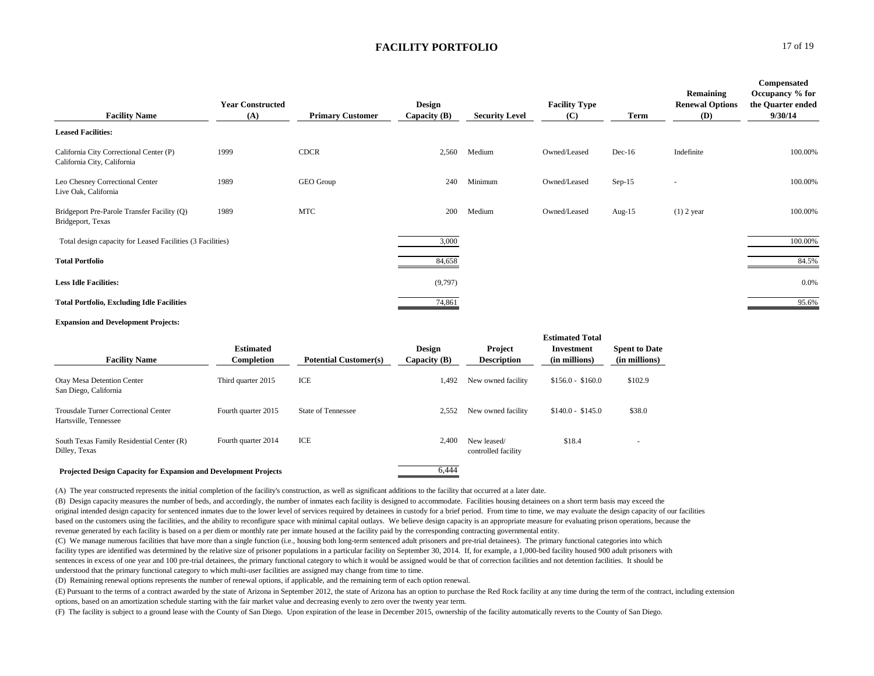### **FACILITY PORTFOLIO** 17 of 19

| <b>Facility Name</b>                                                   | <b>Year Constructed</b><br>(A) | <b>Primary Customer</b> | <b>Design</b><br>Capacity $(B)$ | <b>Security Level</b> | <b>Facility Type</b><br>(C) | <b>Term</b> | <b>Remaining</b><br><b>Renewal Options</b><br><b>(D)</b> | Compensated<br>Occupancy % for<br>the Quarter ended<br>9/30/14 |
|------------------------------------------------------------------------|--------------------------------|-------------------------|---------------------------------|-----------------------|-----------------------------|-------------|----------------------------------------------------------|----------------------------------------------------------------|
| <b>Leased Facilities:</b>                                              |                                |                         |                                 |                       |                             |             |                                                          |                                                                |
| California City Correctional Center (P)<br>California City, California | 1999                           | <b>CDCR</b>             | 2,560                           | Medium                | Owned/Leased                | $Dec-16$    | Indefinite                                               | 100.00%                                                        |
| Leo Chesney Correctional Center<br>Live Oak, California                | 1989                           | GEO Group               | 240                             | Minimum               | Owned/Leased                | $Sep-15$    | $\overline{\phantom{0}}$                                 | 100.00%                                                        |
| Bridgeport Pre-Parole Transfer Facility (Q)<br>Bridgeport, Texas       | 1989                           | <b>MTC</b>              | 200                             | Medium                | Owned/Leased                | Aug- $15$   | $(1)$ 2 year                                             | 100.00%                                                        |
| Total design capacity for Leased Facilities (3 Facilities)             |                                |                         | 3,000                           |                       |                             |             |                                                          | 100.00%                                                        |
| <b>Total Portfolio</b>                                                 |                                |                         | 84,658                          |                       |                             |             |                                                          | 84.5%                                                          |
| <b>Less Idle Facilities:</b>                                           |                                |                         | (9,797)                         |                       |                             |             |                                                          | $0.0\%$                                                        |
| <b>Total Portfolio, Excluding Idle Facilities</b>                      |                                |                         | 74,861                          |                       |                             |             |                                                          | 95.6%                                                          |

#### **Expansion and Development Projects:**

| <b>Facility Name</b>                                                    | <b>Estimated</b><br>Completion | <b>Potential Customer(s)</b> | <b>Design</b><br>Capacity $(B)$ | <b>Project</b><br><b>Description</b> | <b>Estimated Total</b><br>Investment<br>(in millions) | <b>Spent to Date</b><br>(in millions) |
|-------------------------------------------------------------------------|--------------------------------|------------------------------|---------------------------------|--------------------------------------|-------------------------------------------------------|---------------------------------------|
| <b>Otay Mesa Detention Center</b><br>San Diego, California              | Third quarter 2015             | ICE                          | 1,492                           | New owned facility                   | $$156.0 - $160.0$                                     | \$102.9                               |
| <b>Trousdale Turner Correctional Center</b><br>Hartsville, Tennessee    | Fourth quarter 2015            | <b>State of Tennessee</b>    | 2,552                           | New owned facility                   | $$140.0 - $145.0$                                     | \$38.0                                |
| South Texas Family Residential Center (R)<br>Dilley, Texas              | Fourth quarter 2014            | ICE                          | 2,400                           | New leased/<br>controlled facility   | \$18.4                                                |                                       |
| <b>Projected Design Capacity for Expansion and Development Projects</b> |                                |                              | 6,444                           |                                      |                                                       |                                       |

(A) The year constructed represents the initial completion of the facility's construction, as well as significant additions to the facility that occurred at a later date.

(B) Design capacity measures the number of beds, and accordingly, the number of inmates each facility is designed to accommodate. Facilities housing detainees on a short term basis may exceed the original intended design capacity for sentenced inmates due to the lower level of services required by detainees in custody for a brief period. From time to time, we may evaluate the design capacity of our facilities based on the customers using the facilities, and the ability to reconfigure space with minimal capital outlays. We believe design capacity is an appropriate measure for evaluating prison operations, because the revenue generated by each facility is based on a per diem or monthly rate per inmate housed at the facility paid by the corresponding contracting governmental entity.

(C) We manage numerous facilities that have more than a single function (i.e., housing both long-term sentenced adult prisoners and pre-trial detainees). The primary functional categories into which facility types are identified was determined by the relative size of prisoner populations in a particular facility on September 30, 2014. If, for example, a 1,000-bed facility housed 900 adult prisoners with sentences in excess of one year and 100 pre-trial detainees, the primary functional category to which it would be assigned would be that of correction facilities and not detention facilities. It should be understood that the primary functional category to which multi-user facilities are assigned may change from time to time.

(D) Remaining renewal options represents the number of renewal options, if applicable, and the remaining term of each option renewal.

(E) Pursuant to the terms of a contract awarded by the state of Arizona in September 2012, the state of Arizona has an option to purchase the Red Rock facility at any time during the term of the contract, including extension options, based on an amortization schedule starting with the fair market value and decreasing evenly to zero over the twenty year term.

(F) The facility is subject to a ground lease with the County of San Diego. Upon expiration of the lease in December 2015, ownership of the facility automatically reverts to the County of San Diego.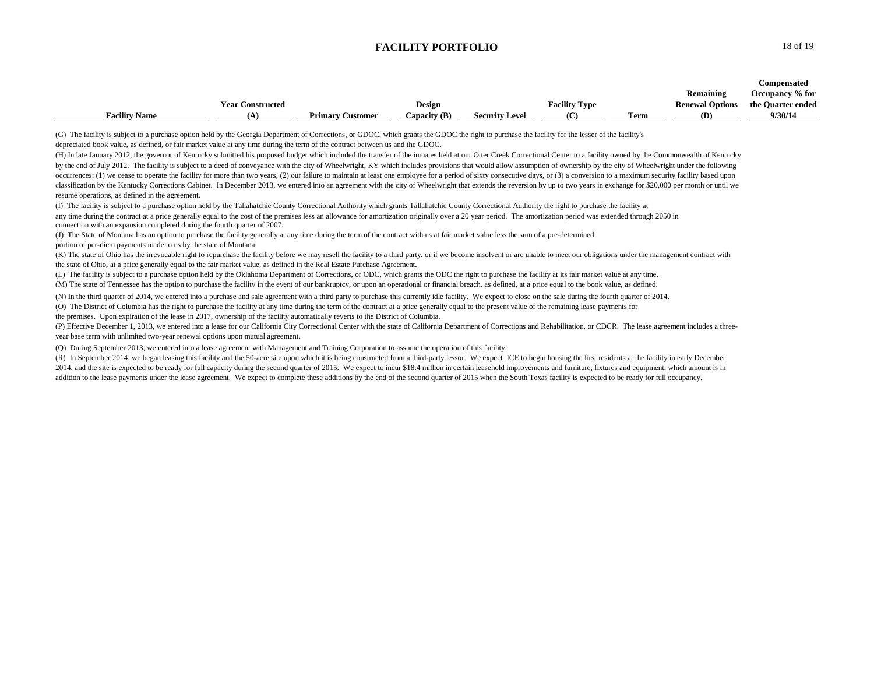### **FACILITY PORTFOLIO** 18 of 19

|                      |                         |                         |                |                       |                      |             |                        | Compensated       |
|----------------------|-------------------------|-------------------------|----------------|-----------------------|----------------------|-------------|------------------------|-------------------|
|                      |                         |                         |                |                       |                      |             | Remaining              | Occupancy % for   |
|                      | <b>Year Constructed</b> |                         | Design         |                       | <b>Facility Type</b> |             | <b>Renewal Options</b> | the Quarter ended |
| <b>Facility Name</b> |                         | <b>Primary Customer</b> | Capacity $(B)$ | <b>Security Level</b> | (C                   | <b>Term</b> | (D)                    | 9/30/14           |

(G) The facility is subject to a purchase option held by the Georgia Department of Corrections, or GDOC, which grants the GDOC the right to purchase the facility for the lesser of the facility's depreciated book value, as defined, or fair market value at any time during the term of the contract between us and the GDOC.

(H) In late January 2012, the governor of Kentucky submitted his proposed budget which included the transfer of the inmates held at our Otter Creek Correctional Center to a facility owned by the Commonwealth of Kentucky by the end of July 2012. The facility is subject to a deed of conveyance with the city of Wheelwright, KY which includes provisions that would allow assumption of ownership by the city of Wheelwright under the following occurrences: (1) we cease to operate the facility for more than two years, (2) our failure to maintain at least one employee for a period of sixty consecutive days, or (3) a conversion to a maximum security facility based classification by the Kentucky Corrections Cabinet. In December 2013, we entered into an agreement with the city of Wheelwright that extends the reversion by up to two years in exchange for \$20,000 per month or until we resume operations, as defined in the agreement.

(I) The facility is subject to a purchase option held by the Tallahatchie County Correctional Authority which grants Tallahatchie County Correctional Authority the right to purchase the facility at any time during the contract at a price generally equal to the cost of the premises less an allowance for amortization originally over a 20 year period. The amortization period was extended through 2050 in connection with an expansion completed during the fourth quarter of 2007.

(J) The State of Montana has an option to purchase the facility generally at any time during the term of the contract with us at fair market value less the sum of a pre-determined portion of per-diem payments made to us by the state of Montana.

(K) The state of Ohio has the irrevocable right to repurchase the facility before we may resell the facility to a third party, or if we become insolvent or are unable to meet our obligations under the management contract w the state of Ohio, at a price generally equal to the fair market value, as defined in the Real Estate Purchase Agreement.

(L) The facility is subject to a purchase option held by the Oklahoma Department of Corrections, or ODC, which grants the ODC the right to purchase the facility at its fair market value at any time.

(M) The state of Tennessee has the option to purchase the facility in the event of our bankruptcy, or upon an operational or financial breach, as defined, at a price equal to the book value, as defined.

(N) In the third quarter of 2014, we entered into a purchase and sale agreement with a third party to purchase this currently idle facility. We expect to close on the sale during the fourth quarter of 2014.

(O) The District of Columbia has the right to purchase the facility at any time during the term of the contract at a price generally equal to the present value of the remaining lease payments for

the premises. Upon expiration of the lease in 2017, ownership of the facility automatically reverts to the District of Columbia.

(P) Effective December 1, 2013, we entered into a lease for our California City Correctional Center with the state of California Department of Corrections and Rehabilitation, or CDCR. The lease agreement includes a threeyear base term with unlimited two-year renewal options upon mutual agreement.

(Q) During September 2013, we entered into a lease agreement with Management and Training Corporation to assume the operation of this facility.

(R) In September 2014, we began leasing this facility and the 50-acre site upon which it is being constructed from a third-party lessor. We expect ICE to begin housing the first residents at the facility in early December 2014, and the site is expected to be ready for full capacity during the second quarter of 2015. We expect to incur \$18.4 million in certain leasehold improvements and furniture, fixtures and equipment, which amount is in addition to the lease payments under the lease agreement. We expect to complete these additions by the end of the second quarter of 2015 when the South Texas facility is expected to be ready for full occupancy.